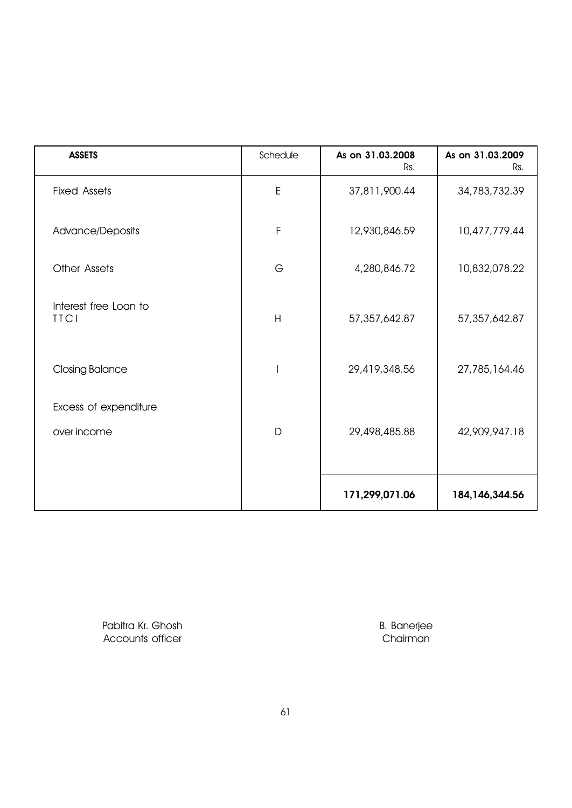| <b>ASSETS</b>                        | Schedule | As on 31.03.2008<br>Rs. | As on 31.03.2009<br>Rs. |
|--------------------------------------|----------|-------------------------|-------------------------|
| <b>Fixed Assets</b>                  | E        | 37,811,900.44           | 34,783,732.39           |
| Advance/Deposits                     | F        | 12,930,846.59           | 10,477,779.44           |
| <b>Other Assets</b>                  | G        | 4,280,846.72            | 10,832,078.22           |
| Interest free Loan to<br><b>TTCI</b> | H        | 57, 357, 642.87         | 57, 357, 642.87         |
| <b>Closing Balance</b>               |          | 29,419,348.56           | 27,785,164.46           |
| Excess of expenditure                |          |                         |                         |
| over income                          | D        | 29,498,485.88           | 42,909,947.18           |
|                                      |          | 171,299,071.06          | 184, 146, 344.56        |

Pabitra Kr. Ghosh B. Banerjee<br>Accounts officer and the state of the B. Banerjee<br>Chairman Accounts officer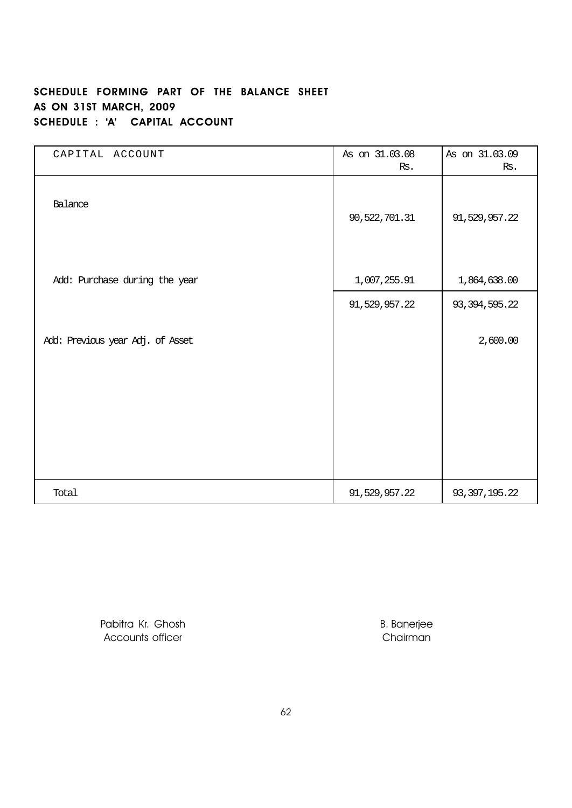#### SCHEDULE FORMING PART OF THE BALANCE SHEET AS ON 31ST MARCH, 2009 SCHEDULE : 'A' CAPITAL ACCOUNT

| CAPITAL ACCOUNT                  | As on 31.03.08<br>Rs. | As on 31.03.09<br>Rs. |
|----------------------------------|-----------------------|-----------------------|
| Balance                          | 90,522,701.31         | 91,529,957.22         |
| Add: Purchase during the year    | 1,007,255.91          | 1,864,638.00          |
|                                  | 91,529,957.22         | 93, 394, 595.22       |
| Add: Previous year Adj. of Asset |                       | 2,600.00              |
| Total                            | 91,529,957.22         | 93, 397, 195.22       |

Pabitra Kr. Ghosh B. Banerjee Accounts officer and the counts of the counts of the counts of the counts of the counts of the counts of the counts of the counts of the counts of the counts of the counts of the counts of the counts of the counts of the c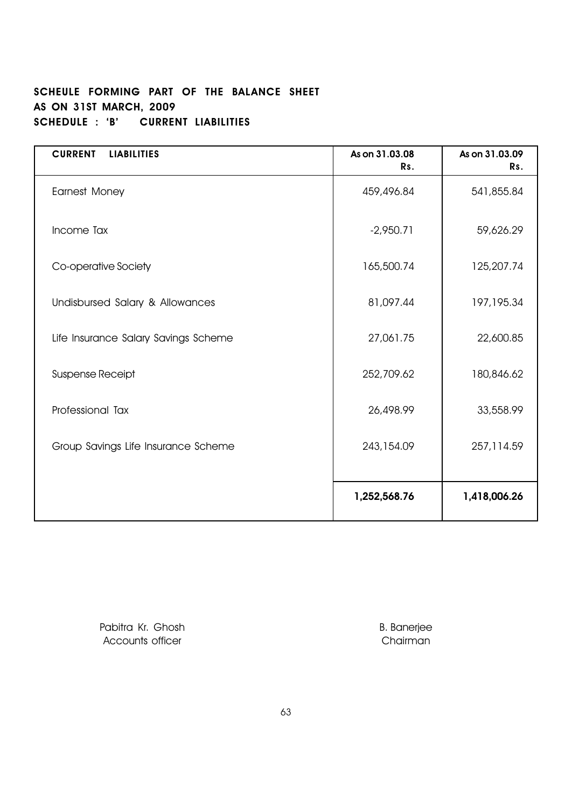### SCHEULE FORMING PART OF THE BALANCE SHEET AS ON 31ST MARCH, 2009 SCHEDULE : 'B' CURRENT LIABILITIES

| <b>CURRENT</b><br><b>LIABILITIES</b> | As on 31.03.08<br>Rs. | As on 31.03.09<br>Rs. |
|--------------------------------------|-----------------------|-----------------------|
| <b>Earnest Money</b>                 | 459,496.84            | 541,855.84            |
| Income Tax                           | $-2,950.71$           | 59,626.29             |
| Co-operative Society                 | 165,500.74            | 125,207.74            |
| Undisbursed Salary & Allowances      | 81,097.44             | 197, 195.34           |
| Life Insurance Salary Savings Scheme | 27,061.75             | 22,600.85             |
| <b>Suspense Receipt</b>              | 252,709.62            | 180,846.62            |
| Professional Tax                     | 26,498.99             | 33,558.99             |
| Group Savings Life Insurance Scheme  | 243,154.09            | 257,114.59            |
|                                      |                       |                       |
|                                      | 1,252,568.76          | 1,418,006.26          |

Pabitra Kr. Ghosh B. Banerjee Accounts officer and the contract of the Chairman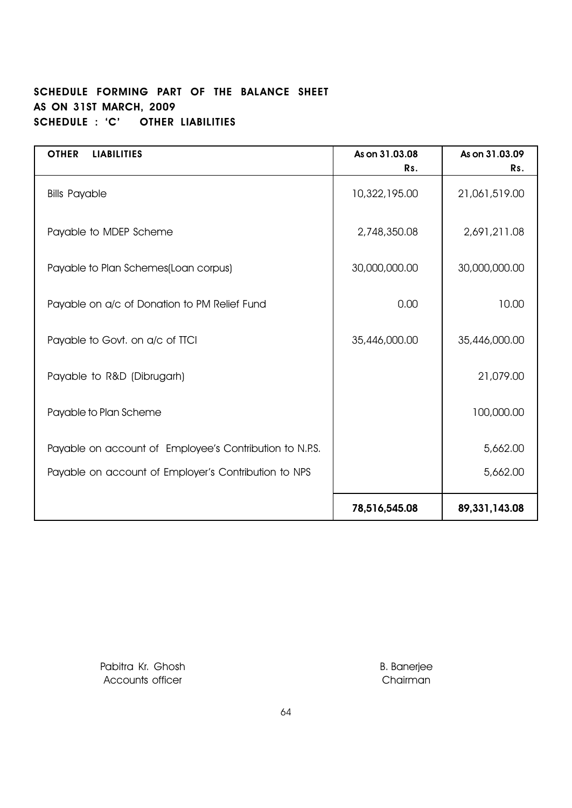## SCHEDULE FORMING PART OF THE BALANCE SHEET AS ON 31ST MARCH, 2009 SCHEDULE : 'C' OTHER LIABILITIES

| <b>OTHER</b><br><b>LIABILITIES</b>                      | As on 31,03,08<br>Rs. | As on 31.03.09<br>Rs. |
|---------------------------------------------------------|-----------------------|-----------------------|
| <b>Bills Payable</b>                                    | 10,322,195.00         | 21,061,519.00         |
| Payable to MDEP Scheme                                  | 2,748,350.08          | 2,691,211.08          |
| Payable to Plan Schemes(Loan corpus)                    | 30,000,000.00         | 30,000,000.00         |
| Payable on a/c of Donation to PM Relief Fund            | 0.00                  | 10.00                 |
| Payable to Govt. on a/c of TTCI                         | 35,446,000.00         | 35,446,000.00         |
| Payable to R&D (Dibrugarh)                              |                       | 21,079.00             |
| Payable to Plan Scheme                                  |                       | 100,000.00            |
| Payable on account of Employee's Contribution to N.P.S. |                       | 5,662.00              |
| Payable on account of Employer's Contribution to NPS    |                       | 5,662.00              |
|                                                         | 78,516,545.08         | 89,331,143.08         |

Pabitra Kr. Ghosh B. Banerjee Accounts officer and the counts of the counts of the counts of the chairman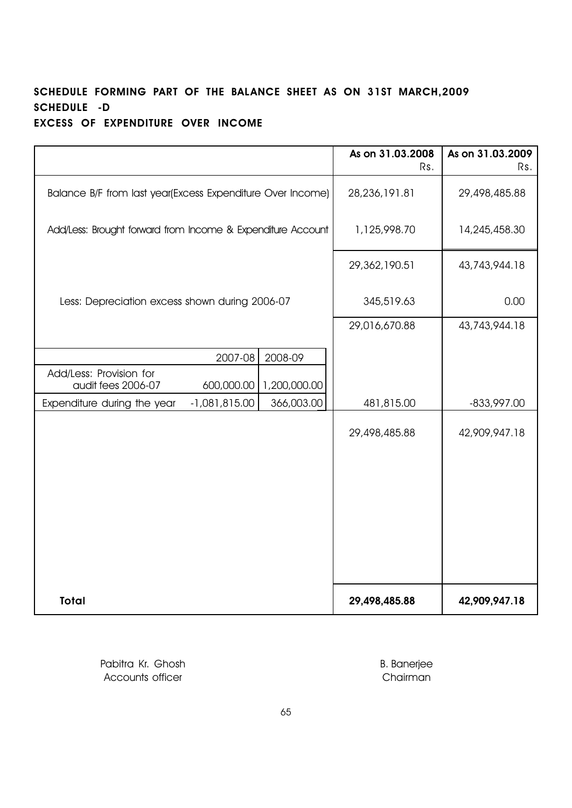## SCHEDULE FORMING PART OF THE BALANCE SHEET AS ON 31ST MARCH,2009 SCHEDULE -D EXCESS OF EXPENDITURE OVER INCOME

|                                                                             | As on 31.03.2008<br>Rs. | As on 31.03.2009<br>Rs. |
|-----------------------------------------------------------------------------|-------------------------|-------------------------|
| Balance B/F from last year(Excess Expenditure Over Income)                  | 28,236,191.81           | 29,498,485.88           |
| Add/Less: Brought forward from Income & Expenditure Account                 | 1,125,998.70            | 14,245,458.30           |
|                                                                             | 29,362,190.51           | 43,743,944.18           |
| Less: Depreciation excess shown during 2006-07                              | 345,519.63              | 0.00                    |
|                                                                             | 29,016,670.88           | 43,743,944.18           |
| 2008-09<br>2007-08                                                          |                         |                         |
| Add/Less: Provision for<br>audit fees 2006-07<br>600,000.00<br>1,200,000.00 |                         |                         |
| 366,003.00<br>Expenditure during the year<br>$-1,081,815.00$                | 481,815.00              | $-833,997.00$           |
|                                                                             | 29,498,485.88           | 42,909,947.18           |
| <b>Total</b>                                                                | 29,498,485.88           | 42,909,947.18           |

Pabitra Kr. Ghosh B. Banerjee Accounts officer Chairman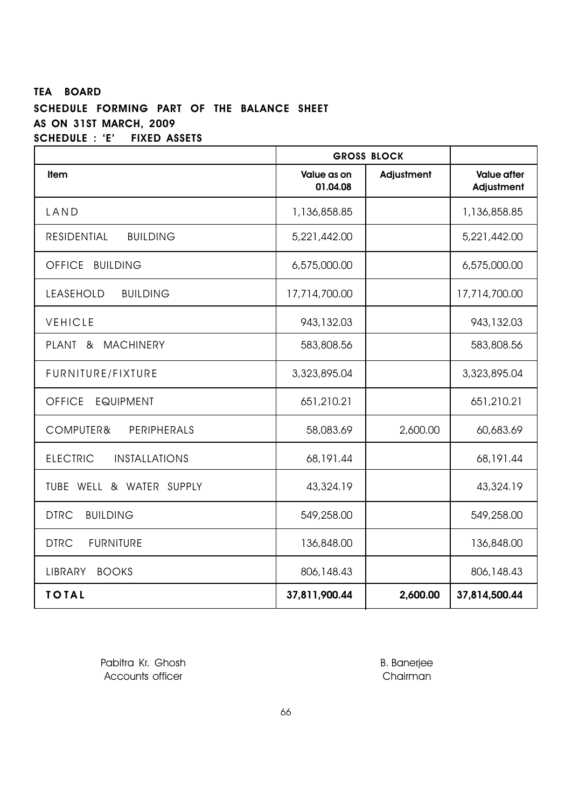### TEA BOARD SCHEDULE FORMING PART OF THE BALANCE SHEET AS ON 31ST MARCH, 2009 SCHEDULE : 'E' FIXED ASSETS

|                                         | <b>GROSS BLOCK</b>      |            |                                  |
|-----------------------------------------|-------------------------|------------|----------------------------------|
| Item                                    | Value as on<br>01.04.08 | Adjustment | <b>Value after</b><br>Adjustment |
| LAND                                    | 1,136,858.85            |            | 1,136,858.85                     |
| RESIDENTIAL<br><b>BUILDING</b>          | 5,221,442.00            |            | 5,221,442.00                     |
| OFFICE BUILDING                         | 6,575,000.00            |            | 6,575,000.00                     |
| <b>LEASEHOLD</b><br><b>BUILDING</b>     | 17,714,700.00           |            | 17,714,700.00                    |
| <b>VEHICLE</b>                          | 943,132.03              |            | 943,132.03                       |
| PLANT &<br><b>MACHINERY</b>             | 583,808.56              |            | 583,808.56                       |
| FURNITURE/FIXTURE                       | 3,323,895.04            |            | 3,323,895.04                     |
| <b>OFFICE</b><br><b>EQUIPMENT</b>       | 651,210.21              |            | 651,210.21                       |
| <b>COMPUTER&amp;</b><br>PERIPHERALS     | 58,083.69               | 2,600.00   | 60,683.69                        |
| <b>ELECTRIC</b><br><b>INSTALLATIONS</b> | 68,191.44               |            | 68, 191.44                       |
| TUBE WELL & WATER SUPPLY                | 43,324.19               |            | 43,324.19                        |
| <b>DTRC</b><br><b>BUILDING</b>          | 549,258.00              |            | 549,258.00                       |
| <b>DTRC</b><br><b>FURNITURE</b>         | 136,848.00              |            | 136,848.00                       |
| LIBRARY<br><b>BOOKS</b>                 | 806,148.43              |            | 806,148.43                       |
| <b>TOTAL</b>                            | 37,811,900.44           | 2,600.00   | 37,814,500.44                    |

Pabitra Kr. Ghosh B. Banerjee Accounts officer and the contract of the Chairman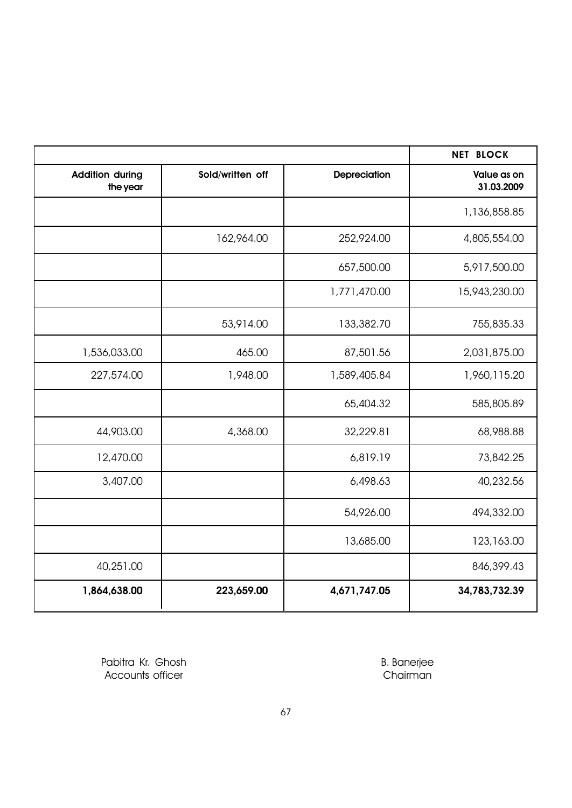|                                    |                  |              | <b>NET BLOCK</b>          |
|------------------------------------|------------------|--------------|---------------------------|
| <b>Addition during</b><br>the year | Sold/written off | Depreciation | Value as on<br>31.03.2009 |
|                                    |                  |              | 1,136,858.85              |
|                                    | 162,964.00       | 252,924.00   | 4,805,554.00              |
|                                    |                  | 657,500.00   | 5,917,500.00              |
|                                    |                  | 1,771,470.00 | 15,943,230.00             |
|                                    | 53,914.00        | 133,382.70   | 755,835.33                |
| 1,536,033.00                       | 465.00           | 87,501.56    | 2,031,875.00              |
| 227,574.00                         | 1,948.00         | 1,589,405.84 | 1,960,115.20              |
|                                    |                  | 65,404.32    | 585,805.89                |
| 44,903.00                          | 4,368.00         | 32,229.81    | 68,988.88                 |
| 12,470.00                          |                  | 6,819.19     | 73,842.25                 |
| 3,407.00                           |                  | 6,498.63     | 40,232.56                 |
|                                    |                  | 54,926.00    | 494,332.00                |
|                                    |                  | 13,685.00    | 123,163.00                |
| 40,251.00                          |                  |              | 846,399.43                |
| 1,864,638.00                       | 223,659.00       | 4,671,747.05 | 34,783,732.39             |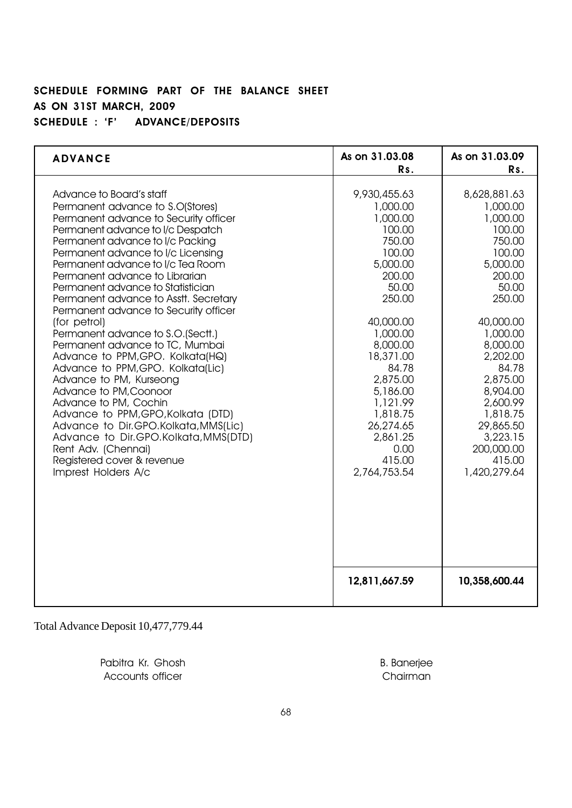# SCHEDULE FORMING PART OF THE BALANCE SHEET AS ON 31ST MARCH, 2009 SCHEDULE : 'F' ADVANCE/DEPOSITS

| <b>ADVANCE</b>                                                                                                                                                                                                                                                                                                                                                                                                                                                                                                                                                                                                                                                                                                                                                                                                                                                       | As on 31.03.08<br>Rs.                                                                                                                                                                                                                                                             | As on 31.03.09<br>Rs.                                                                                                                                                                                                                                                                  |
|----------------------------------------------------------------------------------------------------------------------------------------------------------------------------------------------------------------------------------------------------------------------------------------------------------------------------------------------------------------------------------------------------------------------------------------------------------------------------------------------------------------------------------------------------------------------------------------------------------------------------------------------------------------------------------------------------------------------------------------------------------------------------------------------------------------------------------------------------------------------|-----------------------------------------------------------------------------------------------------------------------------------------------------------------------------------------------------------------------------------------------------------------------------------|----------------------------------------------------------------------------------------------------------------------------------------------------------------------------------------------------------------------------------------------------------------------------------------|
| Advance to Board's staff<br>Permanent advance to S.O(Stores)<br>Permanent advance to Security officer<br>Permanent advance to I/c Despatch<br>Permanent advance to I/c Packing<br>Permanent advance to I/c Licensing<br>Permanent advance to I/c Tea Room<br>Permanent advance to Librarian<br>Permanent advance to Statistician<br>Permanent advance to Asstt. Secretary<br>Permanent advance to Security officer<br>(for petrol)<br>Permanent advance to S.O.(Sectt.)<br>Permanent advance to TC, Mumbai<br>Advance to PPM, GPO. Kolkata (HQ)<br>Advance to PPM, GPO. Kolkata(Lic)<br>Advance to PM, Kurseong<br>Advance to PM, Coonoor<br>Advance to PM, Cochin<br>Advance to PPM, GPO, Kolkata (DTD)<br>Advance to Dir.GPO.Kolkata, MMS(Lic)<br>Advance to Dir.GPO.Kolkata, MMS(DTD)<br>Rent Adv. (Chennai)<br>Registered cover & revenue<br>Imprest Holders A/c | 9,930,455.63<br>1,000.00<br>1,000.00<br>100.00<br>750,00<br>100.00<br>5,000.00<br>200.00<br>50.00<br>250.00<br>40,000.00<br>1,000.00<br>8,000.00<br>18,371.00<br>84.78<br>2,875.00<br>5,186.00<br>1,121.99<br>1,818.75<br>26,274.65<br>2,861.25<br>0.00<br>415.00<br>2,764,753.54 | 8,628,881.63<br>1,000.00<br>1,000.00<br>100.00<br>750.00<br>100.00<br>5,000.00<br>200.00<br>50.00<br>250,00<br>40,000.00<br>1,000.00<br>8,000.00<br>2,202.00<br>84.78<br>2,875.00<br>8,904.00<br>2,600.99<br>1,818.75<br>29,865.50<br>3,223.15<br>200,000.00<br>415.00<br>1,420,279.64 |
|                                                                                                                                                                                                                                                                                                                                                                                                                                                                                                                                                                                                                                                                                                                                                                                                                                                                      | 12,811,667.59                                                                                                                                                                                                                                                                     | 10,358,600.44                                                                                                                                                                                                                                                                          |

Total Advance Deposit 10,477,779.44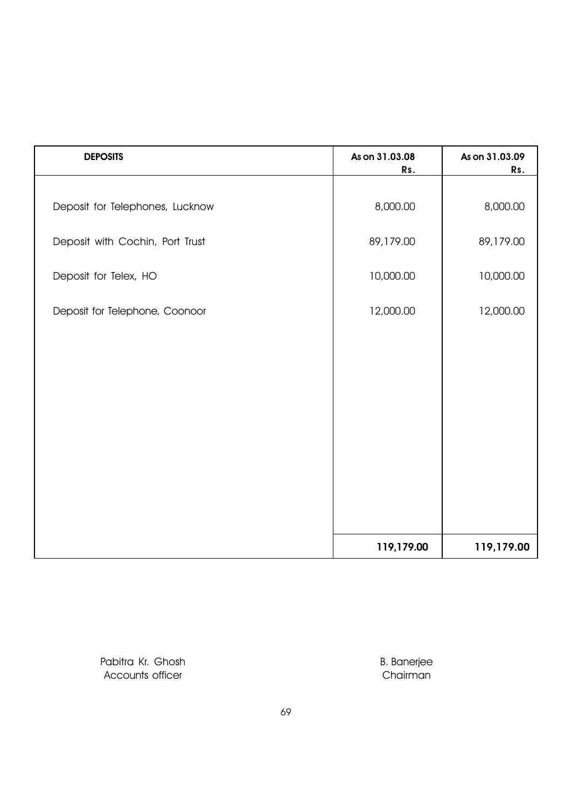| <b>DEPOSITS</b>                 | As on 31.03.08<br>Rs. | As on 31.03.09<br>Rs. |
|---------------------------------|-----------------------|-----------------------|
|                                 |                       |                       |
| Deposit for Telephones, Lucknow | 8,000.00              | 8,000.00              |
| Deposit with Cochin, Port Trust | 89,179.00             | 89,179.00             |
| Deposit for Telex, HO           | 10,000.00             | 10,000.00             |
| Deposit for Telephone, Coonoor  | 12,000.00             | 12,000.00             |
|                                 |                       |                       |
|                                 |                       |                       |
|                                 |                       |                       |
|                                 |                       |                       |
|                                 |                       |                       |
|                                 |                       |                       |
|                                 | 119,179.00            | 119,179.00            |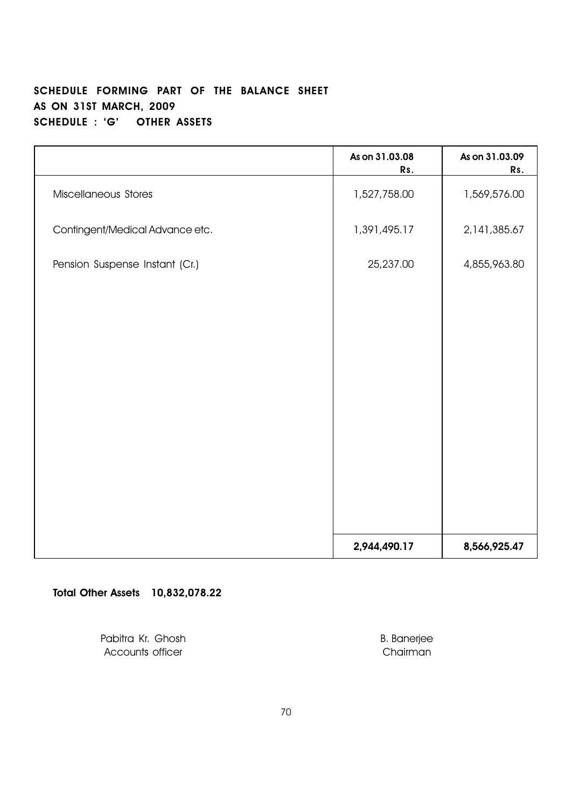# SCHEDULE FORMING PART OF THE BALANCE SHEET AS ON 31ST MARCH, 2009 SCHEDULE : 'G' OTHER ASSETS

|                                 | As on 31.03.08<br>Rs. | As on 31.03.09<br>Rs. |
|---------------------------------|-----------------------|-----------------------|
| Miscellaneous Stores            | 1,527,758.00          | 1,569,576.00          |
| Contingent/Medical Advance etc. | 1,391,495.17          | 2, 141, 385. 67       |
| Pension Suspense Instant (Cr.)  | 25,237.00             | 4,855,963.80          |
|                                 |                       |                       |
|                                 |                       |                       |
|                                 |                       |                       |
|                                 |                       |                       |
|                                 |                       |                       |
|                                 |                       |                       |
|                                 |                       |                       |
|                                 | 2,944,490.17          | 8,566,925.47          |

Total Other Assets 10,832,078.22

Pabitra Kr. Ghosh B. Banerjee Accounts officer and the contract of the Chairman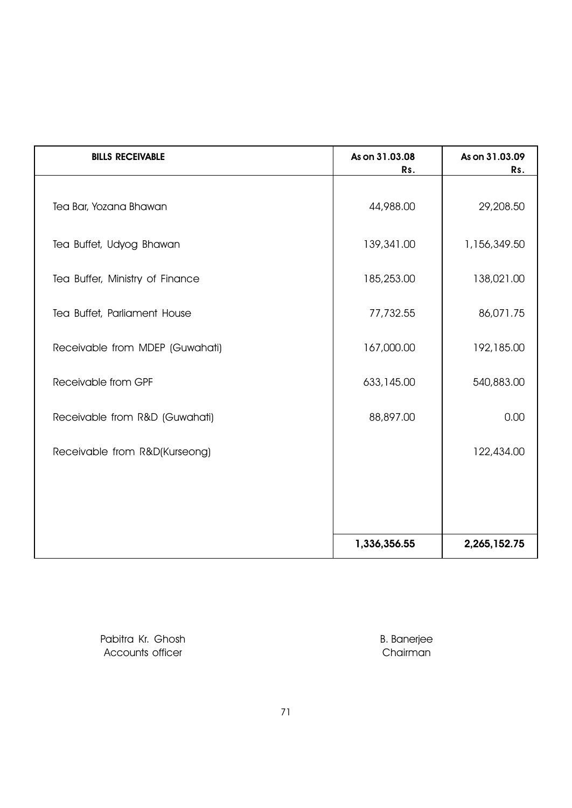| <b>BILLS RECEIVABLE</b>         | As on 31.03.08<br>Rs. | As on 31.03.09<br>Rs. |
|---------------------------------|-----------------------|-----------------------|
|                                 |                       |                       |
| Tea Bar, Yozana Bhawan          | 44,988.00             | 29,208.50             |
| Tea Buffet, Udyog Bhawan        | 139,341.00            | 1,156,349.50          |
| Tea Buffer, Ministry of Finance | 185,253.00            | 138,021.00            |
| Tea Buffet, Parliament House    | 77,732.55             | 86,071.75             |
| Receivable from MDEP (Guwahati) | 167,000.00            | 192,185.00            |
| Receivable from GPF             | 633,145.00            | 540,883.00            |
| Receivable from R&D (Guwahati)  | 88,897.00             | 0.00                  |
| Receivable from R&D(Kurseong)   |                       | 122,434.00            |
|                                 |                       |                       |
|                                 |                       |                       |
|                                 | 1,336,356.55          | 2,265,152.75          |

Pabitra Kr. Ghosh B. Banerjee Accounts officer **Chairman**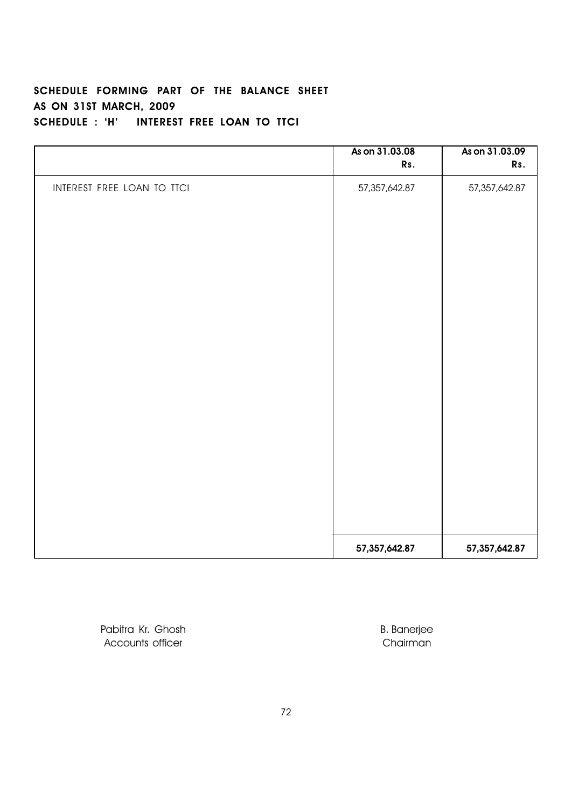# SCHEDULE FORMING PART OF THE BALANCE SHEET AS ON 31ST MARCH, 2009 SCHEDULE : 'H' INTEREST FREE LOAN TO TTCI

|                            | As on 31.03.08  | As on 31.03.09   |
|----------------------------|-----------------|------------------|
|                            | Rs.             | Rs.              |
| INTEREST FREE LOAN TO TTCI | 57, 357, 642.87 | 57, 357, 642.87  |
|                            |                 |                  |
|                            | 57, 357, 642.87 | 57, 357, 642. 87 |

Pabitra Kr. Ghosh B. Banerjee Accounts officer and the counts of the counts of the counts of the counts of the counts of the counts of the counts of the counts of the counts of the counts of the counts of the counts of the counts of the counts of the c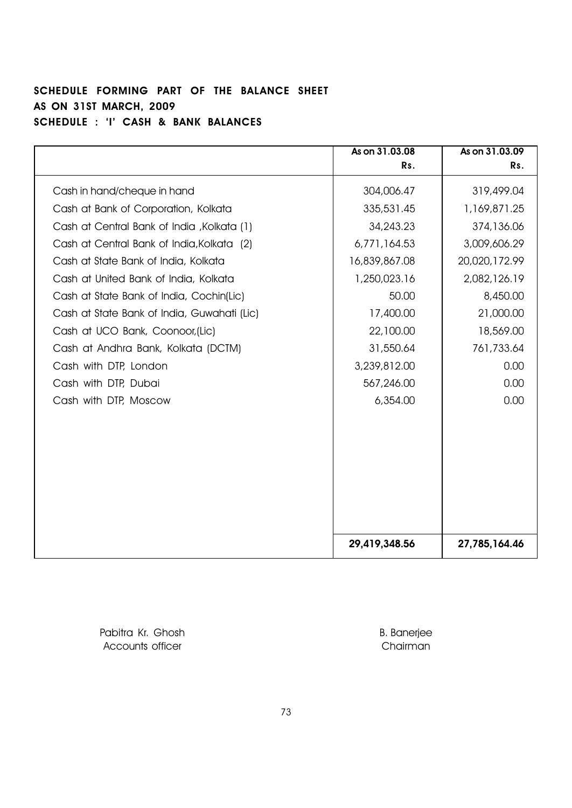# SCHEDULE FORMING PART OF THE BALANCE SHEET AS ON 31ST MARCH, 2009 SCHEDULE : 'I' CASH & BANK BALANCES

|                                             | As on 31.03.08 | As on 31.03.09 |
|---------------------------------------------|----------------|----------------|
|                                             | Rs.            | Rs.            |
| Cash in hand/cheque in hand                 | 304,006.47     | 319,499.04     |
| Cash at Bank of Corporation, Kolkata        | 335,531.45     | 1,169,871.25   |
| Cash at Central Bank of India , Kolkata (1) | 34,243.23      | 374,136.06     |
| Cash at Central Bank of India, Kolkata (2)  | 6,771,164.53   | 3,009,606.29   |
| Cash at State Bank of India, Kolkata        | 16,839,867.08  | 20,020,172.99  |
| Cash at United Bank of India, Kolkata       | 1,250,023.16   | 2,082,126.19   |
| Cash at State Bank of India, Cochin(Lic)    | 50.00          | 8,450.00       |
| Cash at State Bank of India, Guwahati (Lic) | 17,400.00      | 21,000.00      |
| Cash at UCO Bank, Coonoor,(Lic)             | 22,100.00      | 18,569.00      |
| Cash at Andhra Bank, Kolkata (DCTM)         | 31,550.64      | 761,733.64     |
| Cash with DTP, London                       | 3,239,812.00   | 0.00           |
| Cash with DTP, Dubai                        | 567,246.00     | 0.00           |
| Cash with DTP, Moscow                       | 6,354.00       | 0.00           |
|                                             |                |                |
|                                             |                |                |
|                                             |                |                |
|                                             |                |                |
|                                             |                |                |
|                                             |                |                |
|                                             |                |                |
|                                             | 29,419,348.56  | 27,785,164.46  |

Pabitra Kr. Ghosh B. Banerjee<br>Accounts officer and the settlement of the B. Banerjee<br>B. Banerjee Accounts officer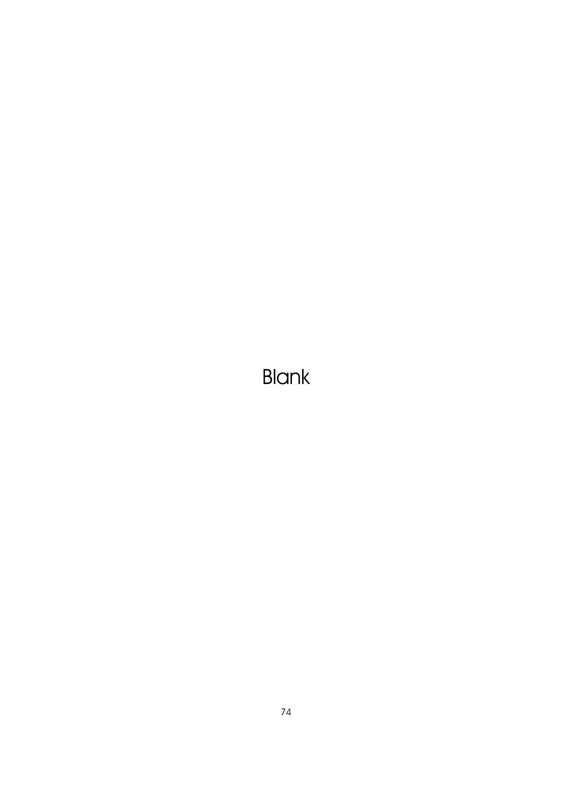**Blank**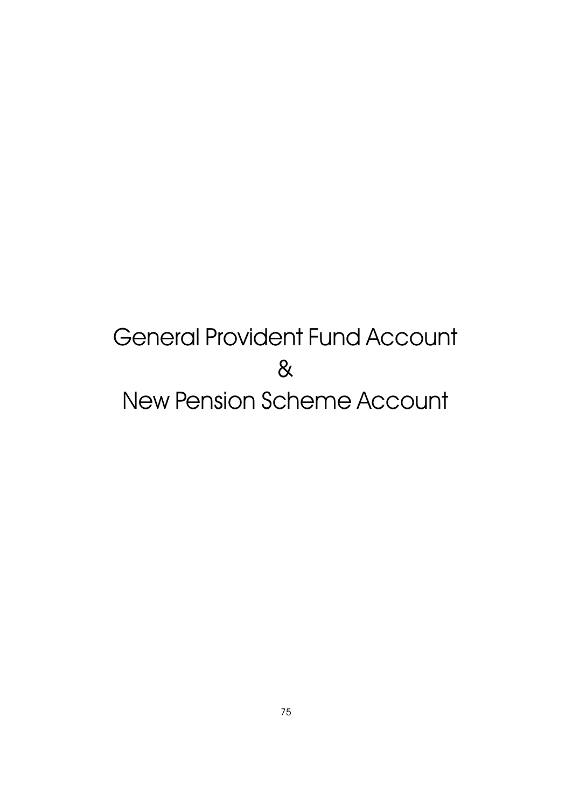# General Provident Fund Account & New Pension Scheme Account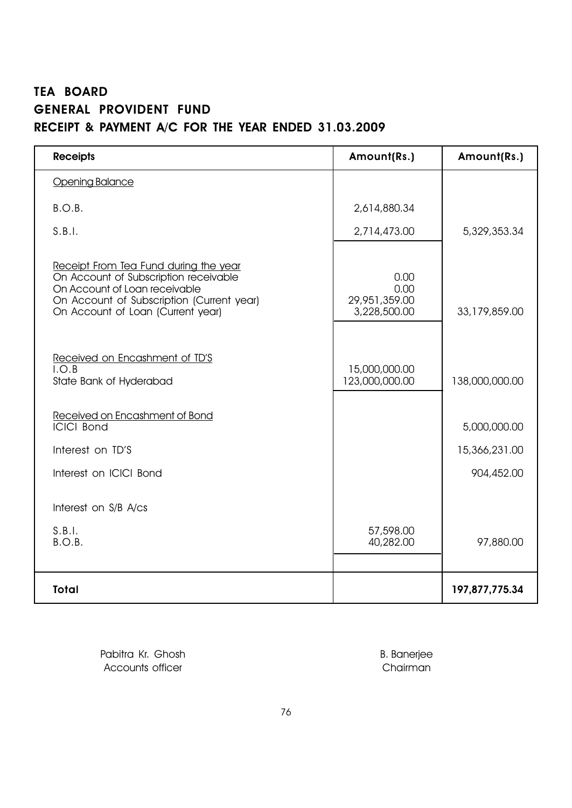# TEA BOARD GENERAL PROVIDENT FUND RECEIPT & PAYMENT A/C FOR THE YEAR ENDED 31.03.2009

| <b>Receipts</b>                                                                                                                                                                                   | Amount(Rs.)                                   | Amount(Rs.)    |
|---------------------------------------------------------------------------------------------------------------------------------------------------------------------------------------------------|-----------------------------------------------|----------------|
| Opening Balance                                                                                                                                                                                   |                                               |                |
| B.O.B.                                                                                                                                                                                            | 2,614,880.34                                  |                |
| S.B.l.                                                                                                                                                                                            | 2,714,473.00                                  | 5,329,353.34   |
| Receipt From Tea Fund during the year<br>On Account of Subscription receivable<br>On Account of Loan receivable<br>On Account of Subscription (Current year)<br>On Account of Loan (Current year) | 0.00<br>0.00<br>29,951,359.00<br>3,228,500.00 | 33,179,859.00  |
| Received on Encashment of TD'S<br>I.O.B<br>State Bank of Hyderabad                                                                                                                                | 15,000,000.00<br>123,000,000.00               | 138,000,000.00 |
| Received on Encashment of Bond<br><b>ICICI Bond</b>                                                                                                                                               |                                               | 5,000,000.00   |
| Interest on TD'S                                                                                                                                                                                  |                                               | 15,366,231.00  |
| Interest on ICICI Bond                                                                                                                                                                            |                                               | 904,452.00     |
| Interest on S/B A/cs<br>S.B.I.<br>B.O.B.                                                                                                                                                          | 57,598.00<br>40,282.00                        | 97,880.00      |
|                                                                                                                                                                                                   |                                               |                |
| <b>Total</b>                                                                                                                                                                                      |                                               | 197,877,775.34 |

Pabitra Kr. Ghosh B. Banerjee<br>Accounts officer and the settlement of the B. Banerjee Accounts officer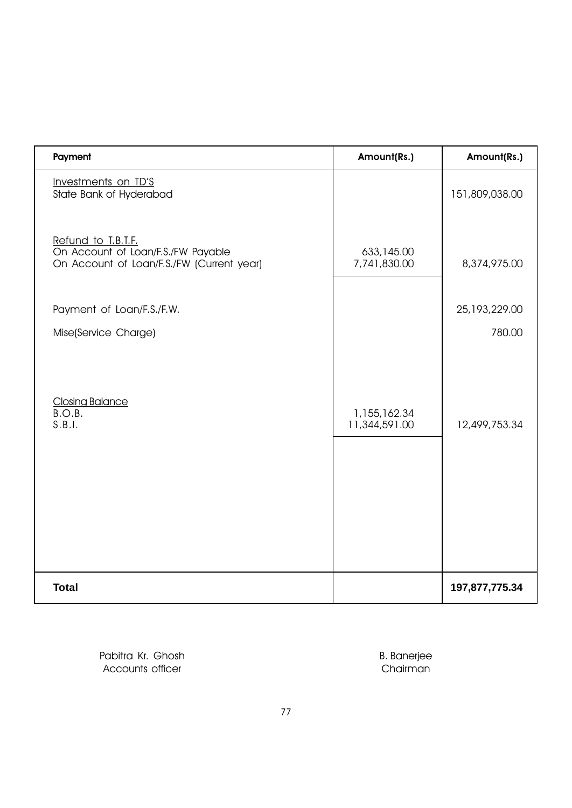| Payment                                                                                               | Amount(Rs.)                   | Amount(Rs.)    |
|-------------------------------------------------------------------------------------------------------|-------------------------------|----------------|
| Investments on TD'S<br>State Bank of Hyderabad                                                        |                               | 151,809,038.00 |
| Refund to T.B.T.F.<br>On Account of Loan/F.S./FW Payable<br>On Account of Loan/F.S./FW (Current year) | 633,145.00<br>7,741,830.00    | 8,374,975.00   |
| Payment of Loan/F.S./F.W.                                                                             |                               | 25,193,229.00  |
| Mise(Service Charge)                                                                                  |                               | 780.00         |
| <b>Closing Balance</b><br>B.O.B.<br>S.B.I.                                                            | 1,155,162.34<br>11,344,591.00 | 12,499,753.34  |
| <b>Total</b>                                                                                          |                               | 197,877,775.34 |

Pabitra Kr. Ghosh B. Banerjee Accounts officer and the counts of the counts of the counts of the counts of the counts of the counts of the counts of the counts of the counts of the counts of the counts of the counts of the counts of the counts of the c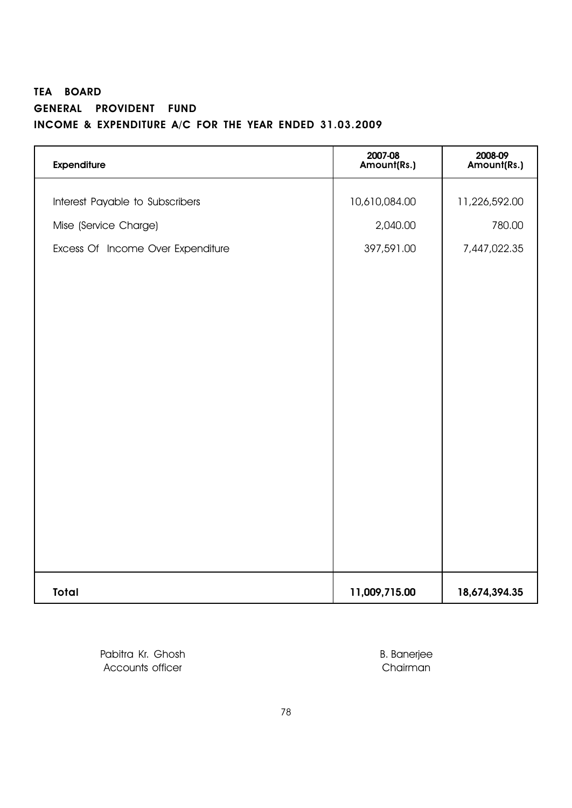# TEA BOARD GENERAL PROVIDENT FUND INCOME & EXPENDITURE A/C FOR THE YEAR ENDED 31.03.2009

| Expenditure                       | 2007-08<br>Amount(Rs.) | 2008-09<br>Amount(Rs.) |
|-----------------------------------|------------------------|------------------------|
| Interest Payable to Subscribers   | 10,610,084.00          | 11,226,592.00          |
| Mise (Service Charge)             | 2,040.00               | 780.00                 |
| Excess Of Income Over Expenditure | 397,591.00             | 7,447,022.35           |
|                                   |                        |                        |
|                                   |                        |                        |
|                                   |                        |                        |
|                                   |                        |                        |
|                                   |                        |                        |
|                                   |                        |                        |
|                                   |                        |                        |
|                                   |                        |                        |
|                                   |                        |                        |
|                                   |                        |                        |
|                                   |                        |                        |
|                                   |                        |                        |
|                                   |                        |                        |
| Total                             | 11,009,715.00          | 18,674,394.35          |

Pabitra Kr. Ghosh B. Banerjee Accounts officer and the counts of the counts of the counts of the counts of the counts of the counts of the counts of the counts of the counts of the counts of the counts of the counts of the counts of the counts of the c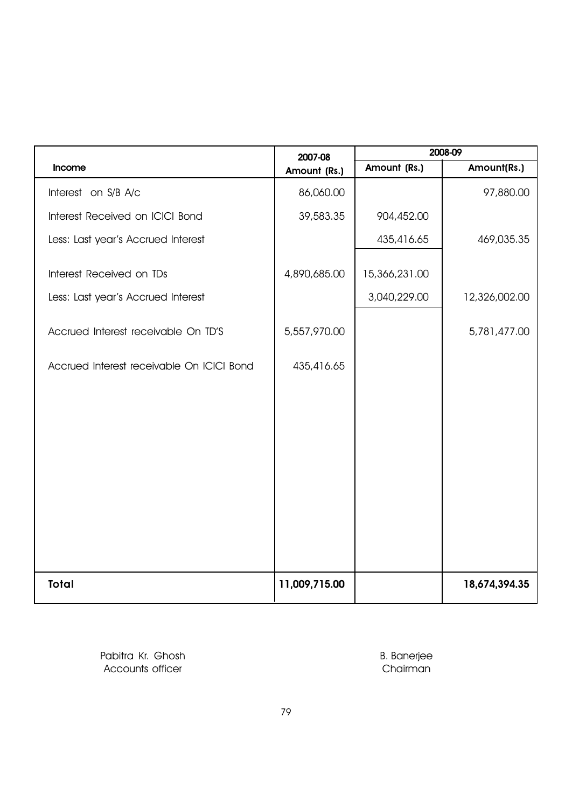|                                                                | 2007-08       |                               | 2008-09       |
|----------------------------------------------------------------|---------------|-------------------------------|---------------|
| Income                                                         | Amount (Rs.)  | Amount (Rs.)                  | Amount(Rs.)   |
| Interest on S/B A/c                                            | 86,060.00     |                               | 97,880.00     |
| Interest Received on ICICI Bond                                | 39,583.35     | 904,452.00                    |               |
| Less: Last year's Accrued Interest                             |               | 435,416.65                    | 469,035.35    |
| Interest Received on TDs<br>Less: Last year's Accrued Interest | 4,890,685.00  | 15,366,231.00<br>3,040,229.00 | 12,326,002.00 |
|                                                                |               |                               |               |
| Accrued Interest receivable On TD'S                            | 5,557,970.00  |                               | 5,781,477.00  |
| Accrued Interest receivable On ICICI Bond                      | 435,416.65    |                               |               |
|                                                                |               |                               |               |
|                                                                |               |                               |               |
|                                                                |               |                               |               |
|                                                                |               |                               |               |
|                                                                |               |                               |               |
|                                                                |               |                               |               |
|                                                                |               |                               |               |
| <b>Total</b>                                                   | 11,009,715.00 |                               | 18,674,394.35 |

Pabitra Kr. Ghosh B. Banerjee Accounts officer and the contract of the Chairman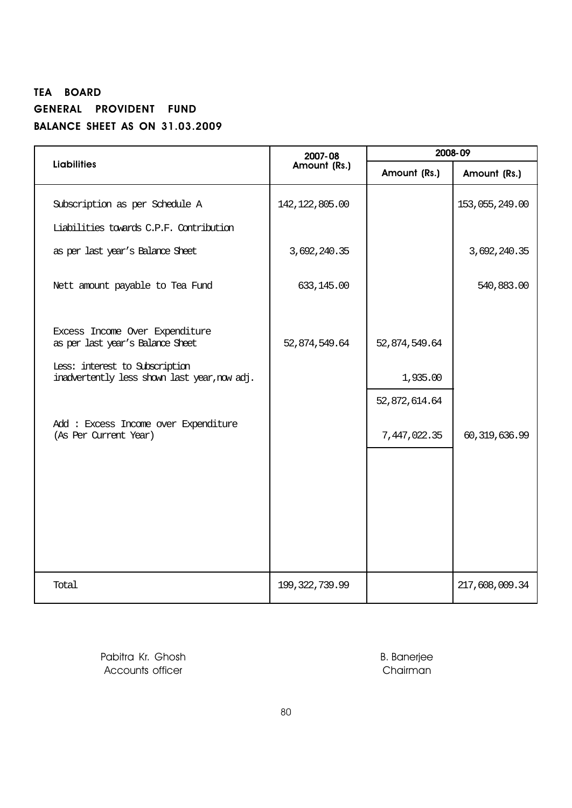# TEA BOARD GENERAL PROVIDENT FUND BALANCE SHEET AS ON 31.03.2009

| 2007-08                                                                                              |                  |               | 2008-09         |
|------------------------------------------------------------------------------------------------------|------------------|---------------|-----------------|
| <b>Liabilities</b>                                                                                   | Amount (Rs.)     | Amount (Rs.)  | Amount (Rs.)    |
| Subscription as per Schedule A                                                                       | 142, 122, 805.00 |               | 153,055,249.00  |
| Liabilities towards C.P.F. Contribution                                                              |                  |               |                 |
| as per last year's Balance Sheet                                                                     | 3,692,240.35     |               | 3,692,240.35    |
| Nett amount payable to Tea Fund                                                                      | 633,145.00       |               | 540,883.00      |
| Excess Income Over Expenditure<br>as per last year's Balance Sheet<br>Less: interest to Subscription | 52,874,549.64    | 52,874,549.64 |                 |
| inadvertently less shown last year, now adj.                                                         |                  | 1,935.00      |                 |
|                                                                                                      |                  | 52,872,614.64 |                 |
| Add: Excess Income over Expenditure<br>(As Per Current Year)                                         |                  | 7,447,022.35  | 60, 319, 636.99 |
| Total                                                                                                | 199, 322, 739.99 |               | 217,608,009.34  |
|                                                                                                      |                  |               |                 |

Pabitra Kr. Ghosh B. Banerjee<br>Accounts officer and the settlement of the B. Banerjee Accounts officer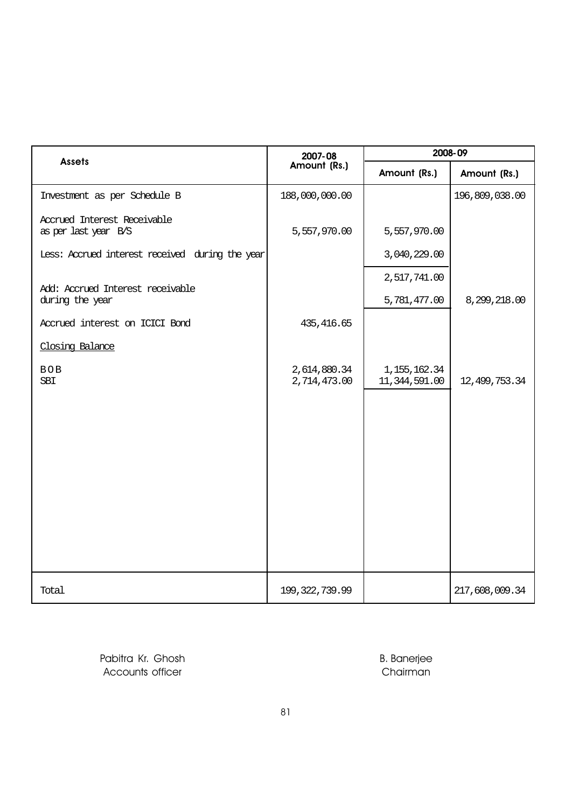| 2007-08<br><b>Assets</b>                            |                              | 2008-09                            |                 |
|-----------------------------------------------------|------------------------------|------------------------------------|-----------------|
|                                                     | Amount (Rs.)                 | Amount (Rs.)                       | Amount (Rs.)    |
| Investment as per Schedule B                        | 188,000,000.00               |                                    | 196,809,038.00  |
| Accrued Interest Receivable<br>as per last year B/S | 5,557,970.00                 | 5,557,970.00                       |                 |
| Less: Accrued interest received during the year     |                              | 3,040,229.00                       |                 |
|                                                     |                              | 2,517,741.00                       |                 |
| Add: Accrued Interest receivable<br>during the year |                              | 5,781,477.00                       | 8,299,218.00    |
| Accrued interest on ICICI Bond                      | 435, 416.65                  |                                    |                 |
| Closing Balance                                     |                              |                                    |                 |
| BOB<br>$\operatorname{SBI}$                         | 2,614,880.34<br>2,714,473.00 | 1, 155, 162. 34<br>11, 344, 591.00 | 12, 499, 753.34 |
|                                                     |                              |                                    |                 |
|                                                     |                              |                                    |                 |
|                                                     |                              |                                    |                 |
|                                                     |                              |                                    |                 |
|                                                     |                              |                                    |                 |
|                                                     |                              |                                    |                 |
|                                                     |                              |                                    |                 |
| Total                                               | 199, 322, 739.99             |                                    | 217,608,009.34  |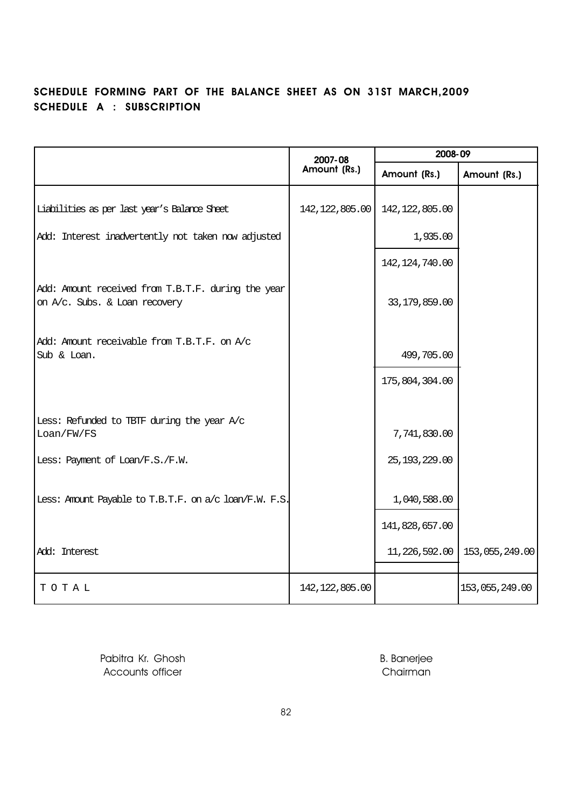# SCHEDULE FORMING PART OF THE BALANCE SHEET AS ON 31ST MARCH,2009 SCHEDULE A : SUBSCRIPTION

|                                                                                     | 2008-09<br>2007-08 |                  |                |
|-------------------------------------------------------------------------------------|--------------------|------------------|----------------|
|                                                                                     | Amount (Rs.)       | Amount (Rs.)     | Amount (Rs.)   |
| Liabilities as per last year's Balance Sheet                                        | 142, 122, 805.00   | 142, 122, 805.00 |                |
| Add: Interest inadvertently not taken now adjusted                                  |                    | 1,935.00         |                |
|                                                                                     |                    | 142, 124, 740.00 |                |
| Add: Amount received from T.B.T.F. during the year<br>on A/c. Subs. & Loan recovery |                    | 33,179,859.00    |                |
| Add: Amount receivable from T.B.T.F. on A/c<br>Sub & Loan.                          |                    | 499,705.00       |                |
|                                                                                     |                    | 175,804,304.00   |                |
| Less: Refunded to TBIF during the year A/c<br>Loan/FW/FS                            |                    | 7,741,830.00     |                |
| Less: Payment of Loan/F.S./F.W.                                                     |                    | 25, 193, 229.00  |                |
| Less: Amount Payable to T.B.T.F. on a/c loan/F.W. F.S.                              |                    | 1,040,588.00     |                |
|                                                                                     |                    | 141,828,657.00   |                |
| Add: Interest                                                                       |                    | 11,226,592.00    | 153,055,249.00 |
| TOTAL                                                                               | 142, 122, 805.00   |                  | 153,055,249.00 |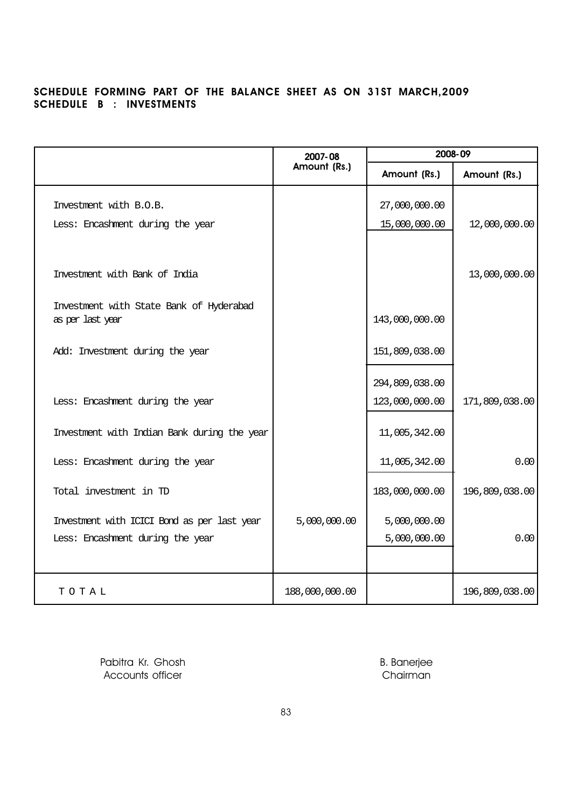#### SCHEDULE FORMING PART OF THE BALANCE SHEET AS ON 31ST MARCH,2009 SCHEDULE B : INVESTMENTS

|                                                                                 | 2007-08        |                                  | 2008-09        |
|---------------------------------------------------------------------------------|----------------|----------------------------------|----------------|
|                                                                                 | Amount (Rs.)   | Amount (Rs.)                     | Amount (Rs.)   |
| Investment with B.O.B.                                                          |                | 27,000,000.00                    |                |
| Less: Encashment during the year                                                |                | 15,000,000.00                    | 12,000,000.00  |
|                                                                                 |                |                                  |                |
| Investment with Bank of India                                                   |                |                                  | 13,000,000.00  |
| Investment with State Bank of Hyderabad<br>as per last year                     |                | 143,000,000.00                   |                |
| Add: Investment during the year                                                 |                | 151,809,038.00                   |                |
| Less: Encashment during the year                                                |                | 294,809,038.00<br>123,000,000.00 | 171,809,038.00 |
| Investment with Indian Bank during the year                                     |                | 11,005,342.00                    |                |
| Less: Encashment during the year                                                |                | 11,005,342.00                    | 0.00           |
| Total investment in TD                                                          |                | 183,000,000.00                   | 196,809,038.00 |
| Investment with ICICI Bond as per last year<br>Less: Encashment during the year | 5,000,000.00   | 5,000,000.00<br>5,000,000.00     | 0.00           |
| TOTAL                                                                           | 188,000,000.00 |                                  | 196,809,038.00 |

Pabitra Kr. Ghosh B. Banerjee Accounts officer and the contract of the Chairman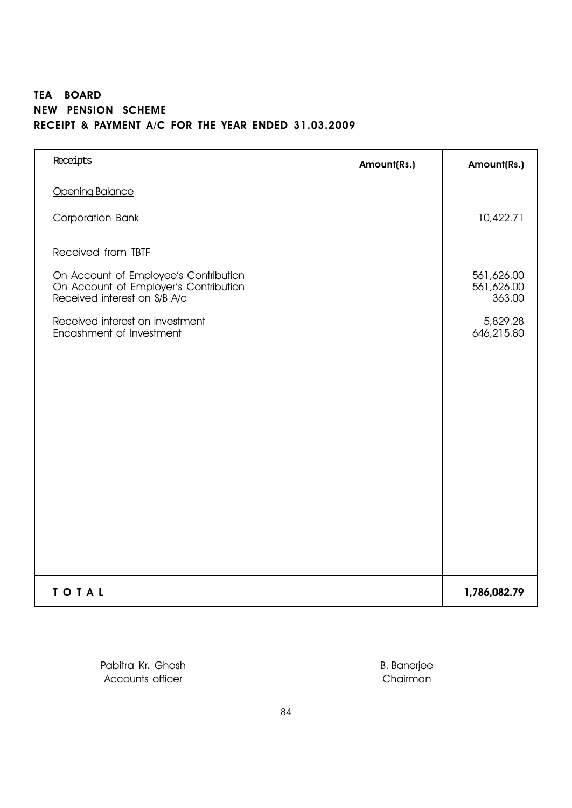# TEA BOARD NEW PENSION SCHEME RECEIPT & PAYMENT A/C FOR THE YEAR ENDED 31.03.2009

| Receipts                                                                                                       | Amount(Rs.) | Amount(Rs.)                        |
|----------------------------------------------------------------------------------------------------------------|-------------|------------------------------------|
| Opening Balance                                                                                                |             |                                    |
| Corporation Bank                                                                                               |             | 10,422.71                          |
| Received from TBTF                                                                                             |             |                                    |
| On Account of Employee's Contribution<br>On Account of Employer's Contribution<br>Received interest on S/B A/c |             | 561,626.00<br>561,626.00<br>363.00 |
| Received interest on investment<br>Encashment of Investment                                                    |             | 5,829.28<br>646,215.80             |
|                                                                                                                |             |                                    |
|                                                                                                                |             |                                    |
|                                                                                                                |             |                                    |
|                                                                                                                |             |                                    |
|                                                                                                                |             |                                    |
|                                                                                                                |             |                                    |
|                                                                                                                |             |                                    |
| TOTAL                                                                                                          |             | 1,786,082.79                       |

Pabitra Kr. Ghosh B. Banerjee Accounts officer Chairman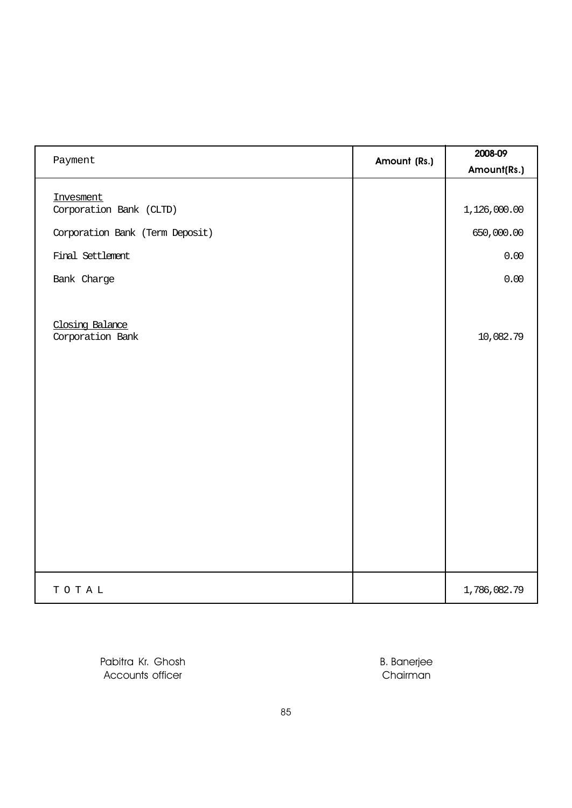| Payment                              | Amount (Rs.) | 2008-09      |
|--------------------------------------|--------------|--------------|
|                                      |              | Amount(Rs.)  |
|                                      |              |              |
| Invesment<br>Corporation Bank (CLTD) |              | 1,126,000.00 |
| Corporation Bank (Term Deposit)      |              | 650,000.00   |
| Final Settlement                     |              | 0.00         |
| Bank Charge                          |              | 0.00         |
|                                      |              |              |
| Closing Balance<br>Corporation Bank  |              | 10,082.79    |
|                                      |              |              |
|                                      |              |              |
|                                      |              |              |
|                                      |              |              |
|                                      |              |              |
|                                      |              |              |
|                                      |              |              |
|                                      |              |              |
|                                      |              |              |
|                                      |              |              |
| TOTAL                                |              | 1,786,082.79 |

Pabitra Kr. Ghosh B. Banerjee Accounts officer **Chairman**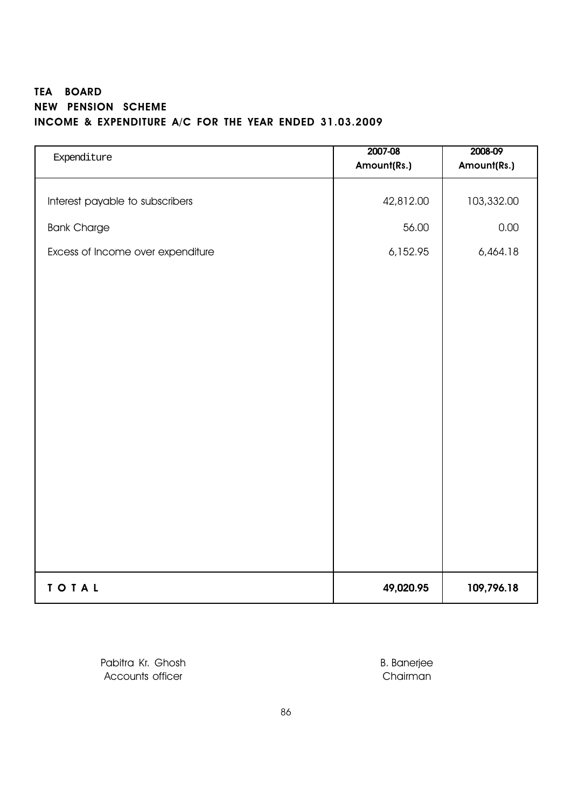# TEA BOARD NEW PENSION SCHEME INCOME & EXPENDITURE A/C FOR THE YEAR ENDED 31.03.2009

| Expenditure                       | 2007-08     | 2008-09     |
|-----------------------------------|-------------|-------------|
|                                   | Amount(Rs.) | Amount(Rs.) |
|                                   |             |             |
| Interest payable to subscribers   | 42,812.00   | 103,332.00  |
|                                   |             |             |
| <b>Bank Charge</b>                | 56.00       | 0.00        |
| Excess of Income over expenditure | 6,152.95    | 6,464.18    |
|                                   |             |             |
|                                   |             |             |
|                                   |             |             |
|                                   |             |             |
|                                   |             |             |
|                                   |             |             |
|                                   |             |             |
|                                   |             |             |
|                                   |             |             |
|                                   |             |             |
|                                   |             |             |
|                                   |             |             |
|                                   |             |             |
|                                   |             |             |
|                                   |             |             |
|                                   |             |             |
|                                   |             |             |
|                                   |             |             |
|                                   |             |             |
| <b>TOTAL</b>                      | 49,020.95   | 109,796.18  |

Pabitra Kr. Ghosh B. Banerjee Accounts officer and the contract of the Chairman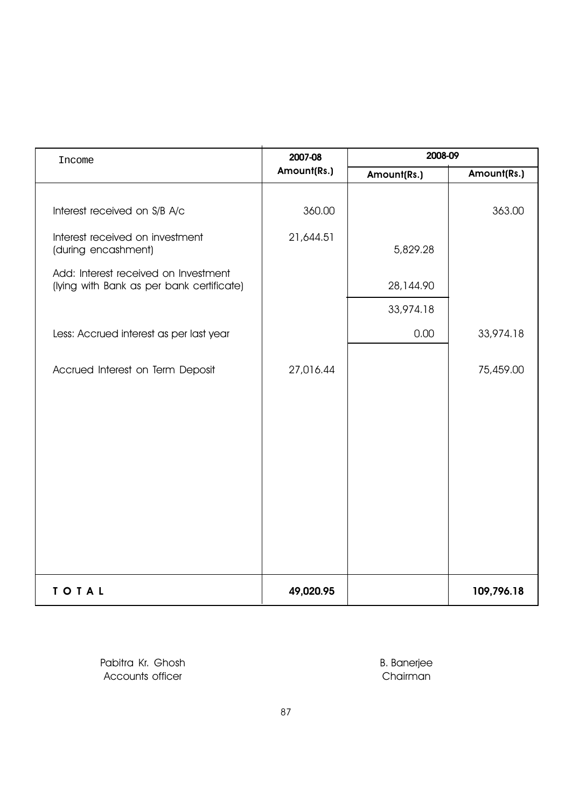| Income                                                                            | 2007-08     | 2008-09     |             |
|-----------------------------------------------------------------------------------|-------------|-------------|-------------|
|                                                                                   | Amount(Rs.) | Amount(Rs.) | Amount(Rs.) |
|                                                                                   |             |             |             |
| Interest received on S/B A/c                                                      | 360.00      |             | 363.00      |
| Interest received on investment<br>(during encashment)                            | 21,644.51   | 5,829.28    |             |
| Add: Interest received on Investment<br>(lying with Bank as per bank certificate) |             | 28,144.90   |             |
|                                                                                   |             | 33,974.18   |             |
| Less: Accrued interest as per last year                                           |             | 0.00        | 33,974.18   |
| Accrued Interest on Term Deposit                                                  | 27,016.44   |             | 75,459.00   |
| <b>TOTAL</b>                                                                      | 49,020.95   |             | 109,796.18  |

Pabitra Kr. Ghosh B. Banerjee<br>Accounts officer and the settlement of the B. Banerjee Accounts officer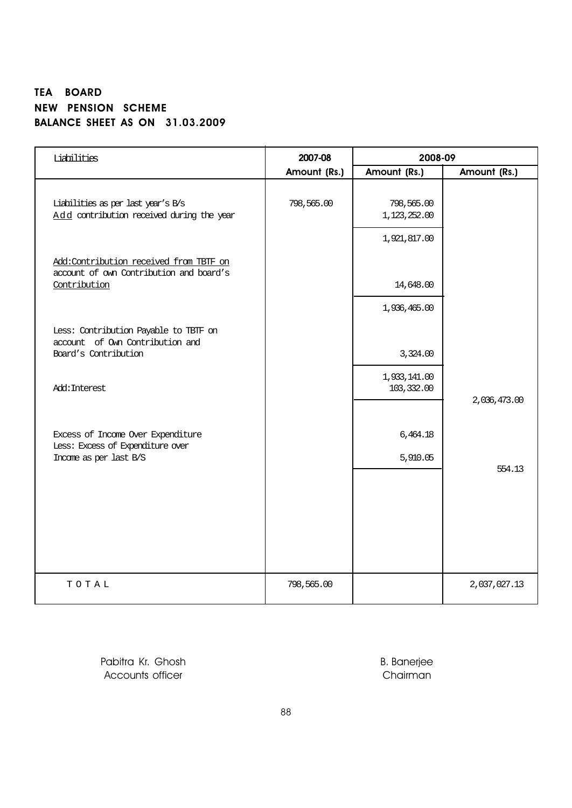#### TEA BOARD NEW PENSION SCHEME BALANCE SHEET AS ON 31.03.2009

| Liabilities                                                                                                       | 2007-08      | 2008-09                                    |                        |
|-------------------------------------------------------------------------------------------------------------------|--------------|--------------------------------------------|------------------------|
|                                                                                                                   | Amount (Rs.) | Amount (Rs.)                               | Amount (Rs.)           |
| Liabilities as per last year's B/s<br>Add contribution received during the year                                   | 798,565.00   | 798,565.00<br>1,123,252.00<br>1,921,817.00 |                        |
| Add:Contribution received from TBIF on<br>account of own Contribution and board's<br>Contribution                 |              | 14,648.00<br>1,936,465.00                  |                        |
| Less: Contribution Payable to TBIF on<br>account of Own Contribution and<br>Board's Contribution<br>Add: Interest |              | 3,324.00<br>1,933,141.00<br>103,332.00     |                        |
| Excess of Income Over Expenditure<br>Less: Excess of Expenditure over<br>Income as per last B/S                   |              | 6,464.18<br>5,910.05                       | 2,036,473.00<br>554.13 |
|                                                                                                                   |              |                                            |                        |
| TOTAL                                                                                                             | 798,565.00   |                                            | 2,037,027.13           |

Pabitra Kr. Ghosh B. Banerjee Accounts officer and the contract of the Chairman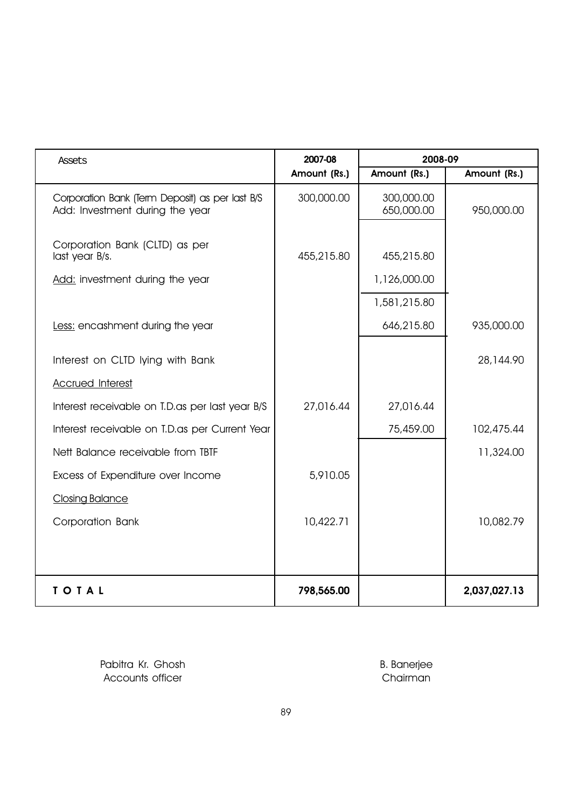| Assets                                                                             | 2007-08      | 2008-09                  |              |
|------------------------------------------------------------------------------------|--------------|--------------------------|--------------|
|                                                                                    | Amount (Rs.) | Amount (Rs.)             | Amount (Rs.) |
| Corporation Bank (Term Deposit) as per last B/S<br>Add: Investment during the year | 300,000.00   | 300,000.00<br>650,000.00 | 950,000.00   |
| Corporation Bank (CLTD) as per<br>last year B/s.                                   | 455,215.80   | 455,215.80               |              |
| Add: investment during the year                                                    |              | 1,126,000.00             |              |
|                                                                                    |              | 1,581,215.80             |              |
| Less: encashment during the year                                                   |              | 646,215.80               | 935,000.00   |
| Interest on CLTD lying with Bank                                                   |              |                          | 28,144.90    |
| <b>Accrued Interest</b>                                                            |              |                          |              |
| Interest receivable on T.D.as per last year B/S                                    | 27,016.44    | 27,016.44                |              |
| Interest receivable on T.D.as per Current Year                                     |              | 75,459.00                | 102,475.44   |
| Nett Balance receivable from TBTF                                                  |              |                          | 11,324.00    |
| Excess of Expenditure over Income                                                  | 5,910.05     |                          |              |
| <b>Closing Balance</b>                                                             |              |                          |              |
| Corporation Bank                                                                   | 10,422.71    |                          | 10,082.79    |
|                                                                                    |              |                          |              |
| <b>TOTAL</b>                                                                       | 798,565.00   |                          | 2,037,027.13 |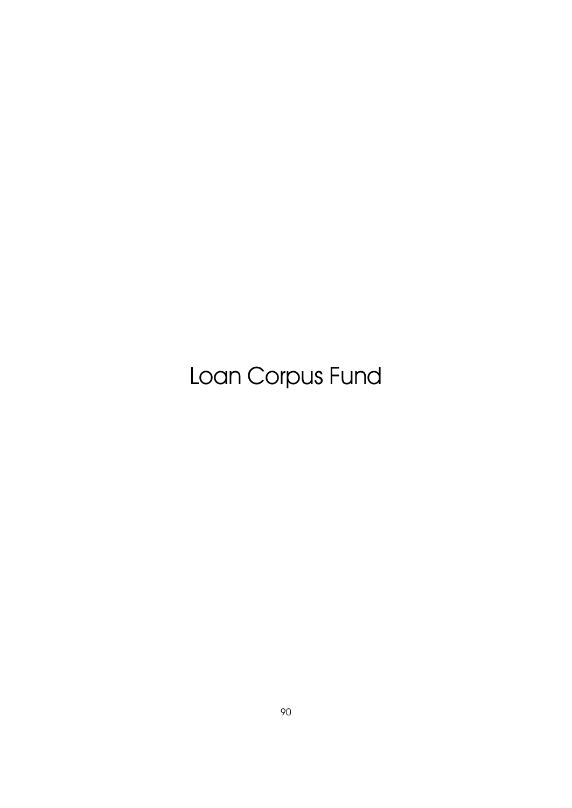# Loan Corpus Fund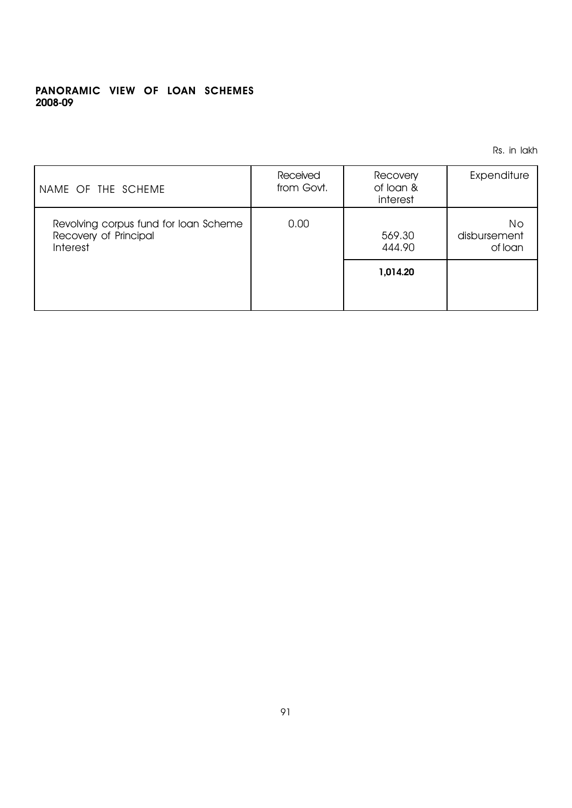#### PANORAMIC VIEW OF LOAN SCHEMES 2008-09

Rs. in lakh

| NAME OF THE SCHEME                                                                | Received<br>from Govt. | Recovery<br>of loan &<br>interest | Expenditure                   |
|-----------------------------------------------------------------------------------|------------------------|-----------------------------------|-------------------------------|
| Revolving corpus fund for loan Scheme<br>Recovery of Principal<br><b>Interest</b> | 0.00                   | 569.30<br>444.90                  | No<br>disbursement<br>of loan |
|                                                                                   |                        | 1,014.20                          |                               |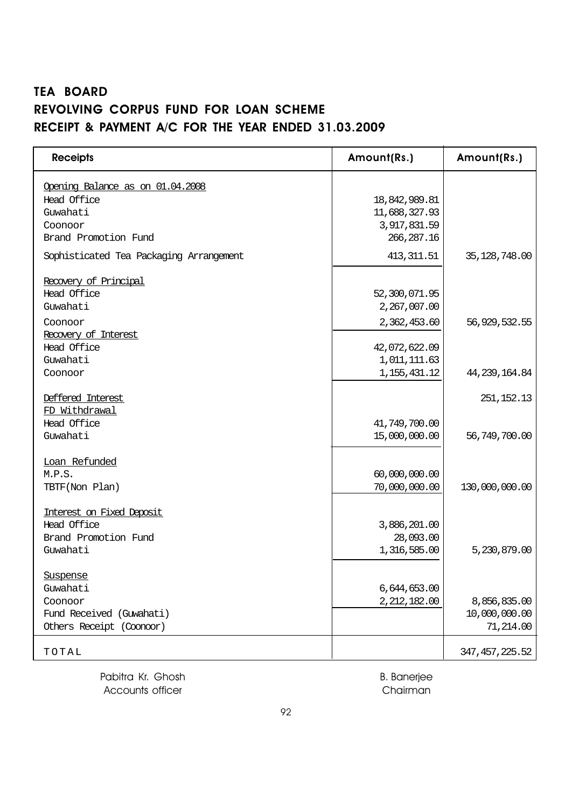# TEA BOARD REVOLVING CORPUS FUND FOR LOAN SCHEME RECEIPT & PAYMENT A/C FOR THE YEAR ENDED 31.03.2009

| <b>Receipts</b>                         | Amount(Rs.)     | Amount(Rs.)      |
|-----------------------------------------|-----------------|------------------|
| Opening Balance as on 01.04.2008        |                 |                  |
| Head Office                             | 18,842,989.81   |                  |
| Guwahati                                | 11,688,327.93   |                  |
| Coonoor                                 | 3,917,831.59    |                  |
| Brand Promotion Fund                    | 266, 287. 16    |                  |
| Sophisticated Tea Packaging Arrangement | 413, 311.51     | 35, 128, 748.00  |
| Recovery of Principal                   |                 |                  |
| Head Office                             | 52,300,071.95   |                  |
| Guwahati                                | 2,267,007.00    |                  |
| Coonoor                                 | 2,362,453.60    | 56, 929, 532.55  |
| Recovery of Interest                    |                 |                  |
| Head Office                             | 42,072,622.09   |                  |
| Guwahati                                | 1,011,111.63    |                  |
| Coonoor                                 | 1, 155, 431. 12 | 44, 239, 164.84  |
| Deffered Interest                       |                 | 251, 152. 13     |
| FD Withdrawal                           |                 |                  |
| Head Office                             | 41,749,700.00   |                  |
| Guwahati                                | 15,000,000.00   | 56,749,700.00    |
| Loan Refunded                           |                 |                  |
| M.P.S.                                  | 60,000,000.00   |                  |
| TBTF(Non Plan)                          | 70,000,000.00   | 130,000,000.00   |
| Interest on Fixed Deposit               |                 |                  |
| Head Office                             | 3,886,201.00    |                  |
| Brand Promotion Fund                    | 28,093.00       |                  |
| Guwahati                                | 1,316,585.00    | 5,230,879.00     |
|                                         |                 |                  |
| Suspense                                |                 |                  |
| Guwahati                                | 6,644,653.00    |                  |
| Coonoor                                 | 2,212,182.00    | 8,856,835.00     |
| Fund Received (Guwahati)                |                 | 10,000,000.00    |
| Others Receipt (Coonoor)                |                 | 71,214.00        |
| TOTAL                                   |                 | 347, 457, 225.52 |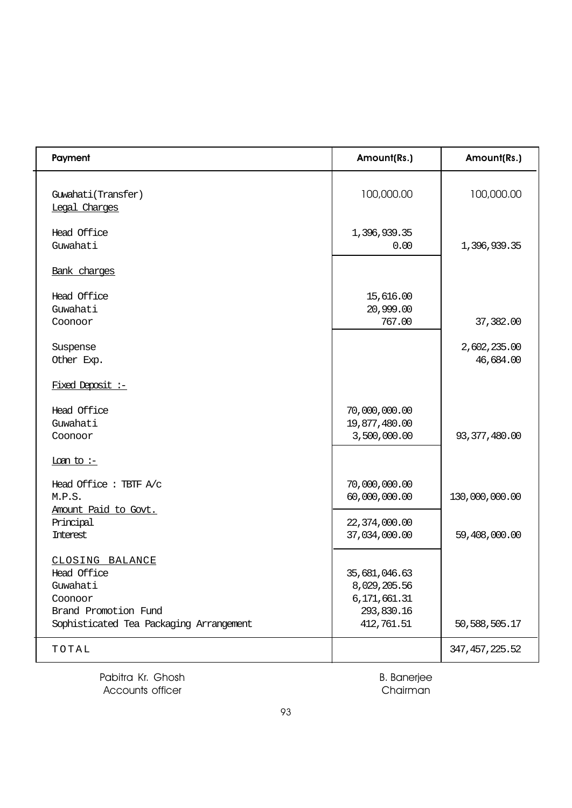| Payment                                 | Amount(Rs.)   | Amount(Rs.)      |
|-----------------------------------------|---------------|------------------|
|                                         |               |                  |
| Guwahati(Transfer)                      | 100,000.00    | 100,000.00       |
| Legal Charges                           |               |                  |
| Head Office                             | 1,396,939.35  |                  |
| Guwahati                                | 0.00          | 1,396,939.35     |
|                                         |               |                  |
| Bank charges                            |               |                  |
| Head Office                             | 15,616.00     |                  |
| Guwahati                                | 20,999.00     |                  |
| Coonoor                                 | 767.00        | 37,382.00        |
|                                         |               |                  |
| Suspense                                |               | 2,602,235.00     |
| Other Exp.                              |               | 46,684.00        |
| Fixed Deposit :-                        |               |                  |
| Head Office                             | 70,000,000.00 |                  |
| Guwahati                                | 19,877,480.00 |                  |
| Coonoor                                 | 3,500,000.00  | 93, 377, 480.00  |
|                                         |               |                  |
| $\underline{\text{Lom to}}$ :           |               |                  |
| Head Office: TBIF A/c                   | 70,000,000.00 |                  |
| M.P.S.                                  | 60,000,000.00 | 130,000,000.00   |
| Amount Paid to Govt.                    |               |                  |
| Principal                               | 22,374,000.00 |                  |
| <b>Interest</b>                         | 37,034,000.00 | 59,408,000.00    |
| CLOSING BALANCE                         |               |                  |
| Head Office                             | 35,681,046.63 |                  |
| Guwahati                                | 8,029,205.56  |                  |
| Coonoor                                 | 6,171,661.31  |                  |
| Brand Promotion Fund                    | 293,830.16    |                  |
| Sophisticated Tea Packaging Arrangement | 412,761.51    | 50,588,505.17    |
| TOTAL                                   |               | 347, 457, 225.52 |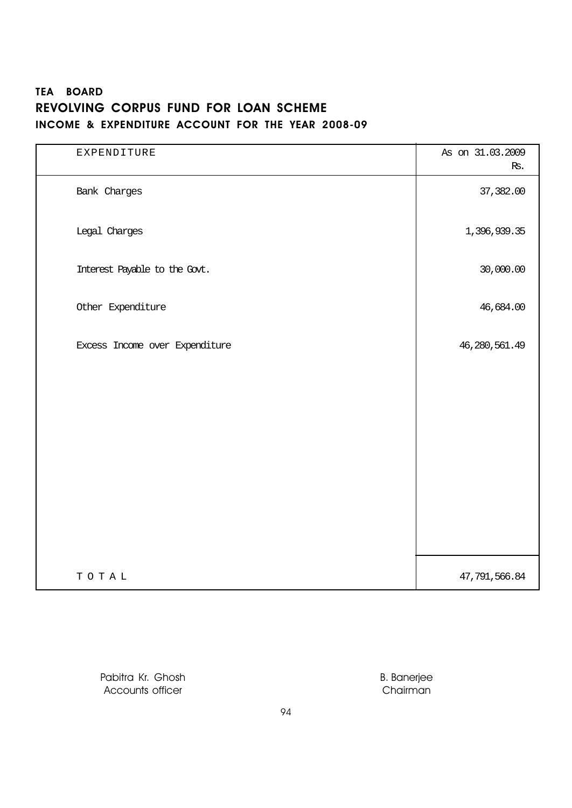# TEA BOARD REVOLVING CORPUS FUND FOR LOAN SCHEME INCOME & EXPENDITURE ACCOUNT FOR THE YEAR 2008-09

| EXPENDITURE                    | As on 31.03.2009<br>Rs. |
|--------------------------------|-------------------------|
| Bank Charges                   | 37,382.00               |
| Legal Charges                  | 1,396,939.35            |
| Interest Payable to the Govt.  | 30,000.00               |
| Other Expenditure              | 46,684.00               |
| Excess Income over Expenditure | 46, 280, 561.49         |
|                                |                         |
|                                |                         |
|                                |                         |
|                                |                         |
|                                |                         |
| TOTAL                          | 47,791,566.84           |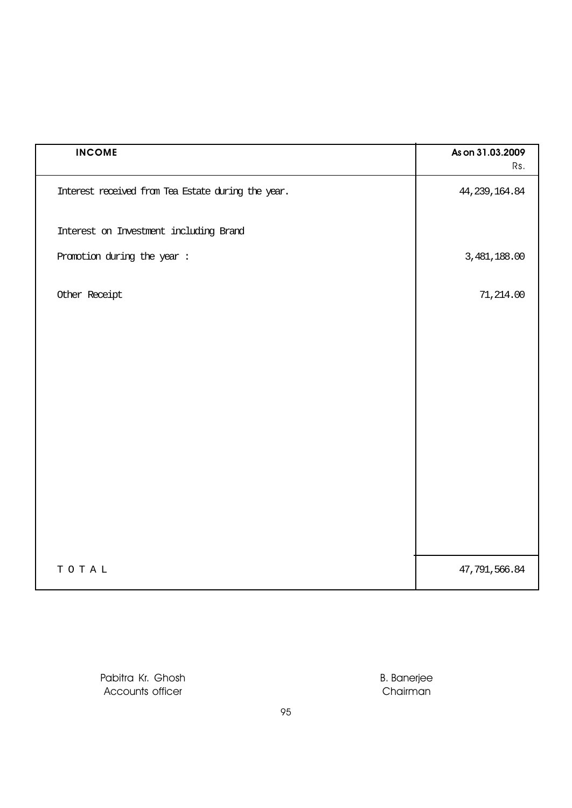| <b>INCOME</b>                                      | As on 31.03.2009<br>Rs. |
|----------------------------------------------------|-------------------------|
| Interest received from Tea Estate during the year. | 44, 239, 164.84         |
| Interest on Investment including Brand             |                         |
| Promotion during the year:                         | 3,481,188.00            |
| Other Receipt                                      | 71,214.00               |
|                                                    |                         |
|                                                    |                         |
|                                                    |                         |
|                                                    |                         |
|                                                    |                         |
|                                                    |                         |
|                                                    |                         |
|                                                    |                         |
| TOTAL                                              | 47,791,566.84           |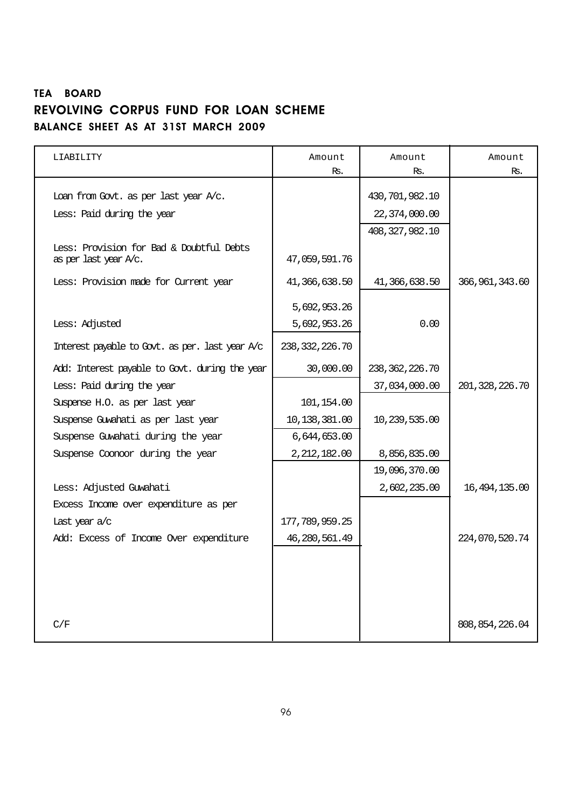# TEA BOARD REVOLVING CORPUS FUND FOR LOAN SCHEME BALANCE SHEET AS AT 31ST MARCH 2009

| LIABILITY                                                         | Amount           | Amount            | Amount           |
|-------------------------------------------------------------------|------------------|-------------------|------------------|
|                                                                   | Rs.              | Rs.               | Rs.              |
| Loan from Govt. as per last year A/c.                             |                  | 430,701,982.10    |                  |
| Less: Paid during the year                                        |                  | 22,374,000.00     |                  |
|                                                                   |                  | 408, 327, 982. 10 |                  |
| Less: Provision for Bad & Doubtful Debts<br>as per last year A/c. | 47,059,591.76    |                   |                  |
| Less: Provision made for Current year                             | 41,366,638.50    | 41,366,638.50     | 366, 961, 343.60 |
|                                                                   | 5,692,953.26     |                   |                  |
| Less: Adjusted                                                    | 5,692,953.26     | 0.00              |                  |
| Interest payable to Govt. as per. last year A/c                   | 238, 332, 226.70 |                   |                  |
| Add: Interest payable to Govt. during the year                    | 30,000.00        | 238, 362, 226.70  |                  |
| Less: Paid during the year                                        |                  | 37,034,000.00     | 201, 328, 226.70 |
| Suspense H.O. as per last year                                    | 101, 154.00      |                   |                  |
| Suspense Guwahati as per last year                                | 10,138,381.00    | 10,239,535.00     |                  |
| Suspense Guwahati during the year                                 | 6,644,653.00     |                   |                  |
| Suspense Coonoor during the year                                  | 2,212,182.00     | 8,856,835.00      |                  |
|                                                                   |                  | 19,096,370.00     |                  |
| Less: Adjusted Guwahati                                           |                  | 2,602,235.00      | 16, 494, 135.00  |
| Excess Income over expenditure as per                             |                  |                   |                  |
| Last year a/c                                                     | 177, 789, 959.25 |                   |                  |
| Add: Excess of Income Over expenditure                            | 46,280,561.49    |                   | 224,070,520.74   |
|                                                                   |                  |                   |                  |
|                                                                   |                  |                   |                  |
|                                                                   |                  |                   |                  |
|                                                                   |                  |                   |                  |
| C/F                                                               |                  |                   | 808, 854, 226.04 |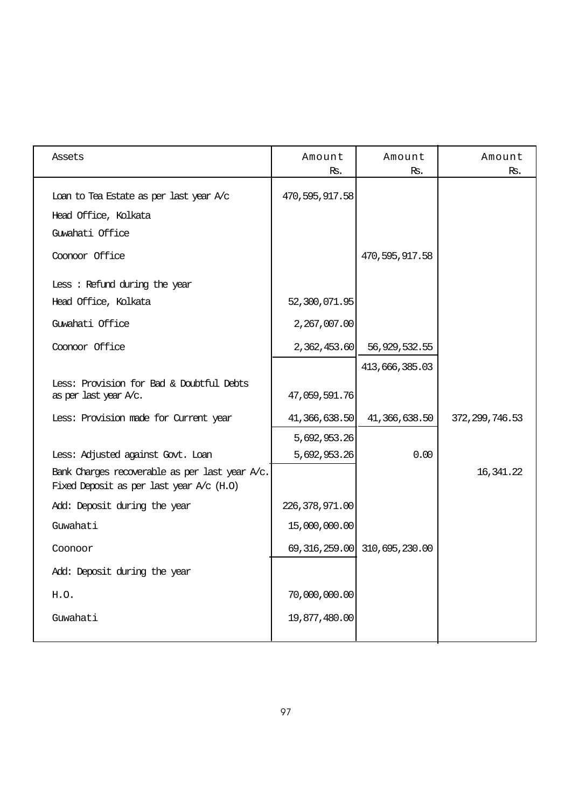| Assets                                                                                     | Amount           | Amount                           | Amount           |
|--------------------------------------------------------------------------------------------|------------------|----------------------------------|------------------|
|                                                                                            | Rs.              | Rs.                              | Rs.              |
| Loan to Tea Estate as per last year A/c                                                    | 470,595,917.58   |                                  |                  |
| Head Office, Kolkata                                                                       |                  |                                  |                  |
| Guwahati Office                                                                            |                  |                                  |                  |
| Coonoor Office                                                                             |                  | 470, 595, 917.58                 |                  |
| Less: Refund during the year                                                               |                  |                                  |                  |
| Head Office, Kolkata                                                                       | 52,300,071.95    |                                  |                  |
| Guwahati Office                                                                            | 2,267,007.00     |                                  |                  |
| Coonoor Office                                                                             | 2,362,453.60     | 56, 929, 532.55                  |                  |
|                                                                                            |                  | 413,666,385.03                   |                  |
| Less: Provision for Bad & Doubtful Debts<br>as per last year A/c.                          | 47,059,591.76    |                                  |                  |
| Less: Provision made for Current year                                                      | 41, 366, 638.50  | 41,366,638.50                    | 372, 299, 746.53 |
|                                                                                            | 5,692,953.26     |                                  |                  |
| Less: Adjusted against Govt. Loan                                                          | 5,692,953.26     | 0.00                             |                  |
| Bank Charges recoverable as per last year A/c.<br>Fixed Deposit as per last year A/c (H.O) |                  |                                  | 16,341.22        |
| Add: Deposit during the year                                                               | 226, 378, 971.00 |                                  |                  |
| Guwahati                                                                                   | 15,000,000.00    |                                  |                  |
| Coonoor                                                                                    |                  | 69, 316, 259.00 310, 695, 230.00 |                  |
| Add: Deposit during the year                                                               |                  |                                  |                  |
| H.O.                                                                                       | 70,000,000.00    |                                  |                  |
| Guwahati                                                                                   | 19,877,480.00    |                                  |                  |
|                                                                                            |                  |                                  |                  |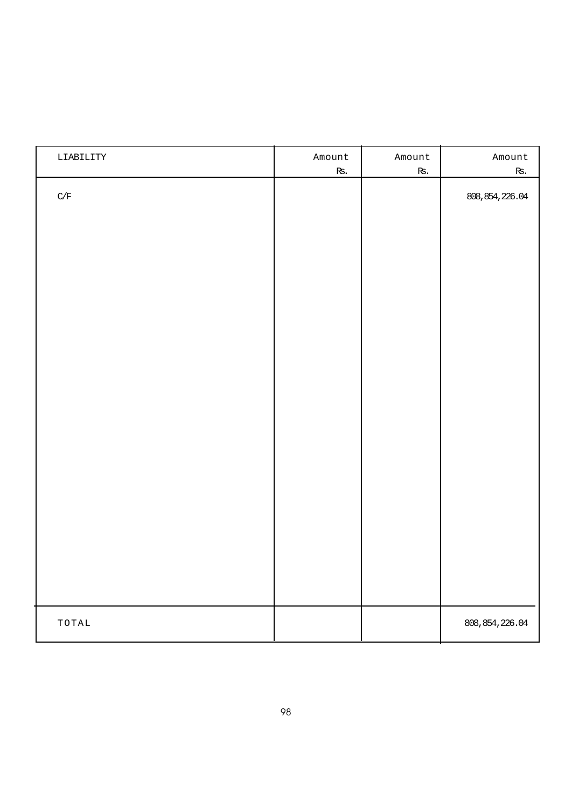| ${\tt LIABILITY}$ | Amount<br>$\mathbb{R}\!s.$ | Amount<br>$\mathbb{R}\!s.$ | Amount<br>Rs.    |
|-------------------|----------------------------|----------------------------|------------------|
| $\rm C/F$         |                            |                            | 808, 854, 226.04 |
|                   |                            |                            |                  |
|                   |                            |                            |                  |
|                   |                            |                            |                  |
|                   |                            |                            |                  |
|                   |                            |                            |                  |
|                   |                            |                            |                  |
|                   |                            |                            |                  |
|                   |                            |                            |                  |
|                   |                            |                            |                  |
|                   |                            |                            |                  |
|                   |                            |                            |                  |
|                   |                            |                            |                  |
|                   |                            |                            |                  |
|                   |                            |                            |                  |
|                   |                            |                            |                  |
| TOTAL             |                            |                            | 808, 854, 226.04 |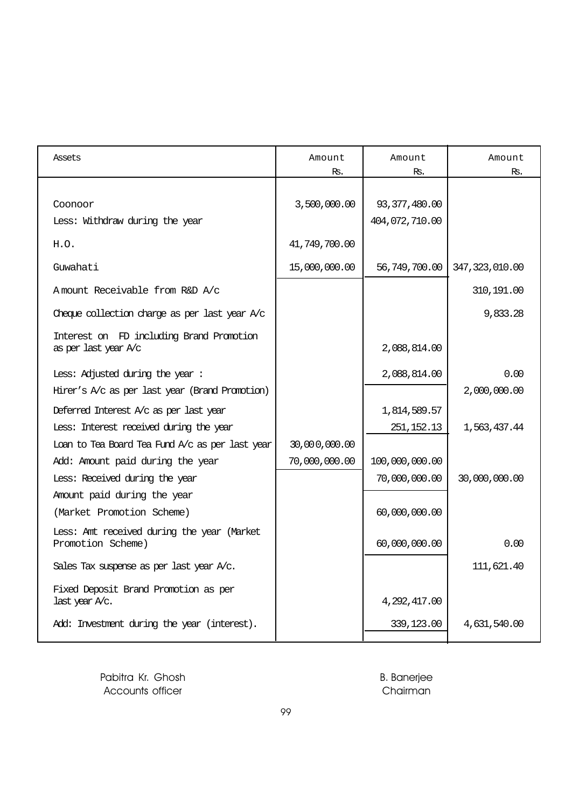| Assets                                                           | Amount        | Amount          | Amount           |
|------------------------------------------------------------------|---------------|-----------------|------------------|
|                                                                  | Rs.           | Rs.             | Rs.              |
| Coonoor                                                          | 3,500,000.00  | 93, 377, 480.00 |                  |
| Less: Withdraw during the year                                   |               | 404,072,710.00  |                  |
|                                                                  |               |                 |                  |
| H.O.                                                             | 41,749,700.00 |                 |                  |
| Guwahati                                                         | 15,000,000.00 | 56,749,700.00   | 347, 323, 010.00 |
| A mount Receivable from R&D A/c                                  |               |                 | 310, 191.00      |
| Cheque collection charge as per last year A/c                    |               |                 | 9,833.28         |
| Interest on FD including Brand Promotion<br>as per last year A/c |               | 2,088,814.00    |                  |
| Less: Adjusted during the year:                                  |               | 2,088,814.00    | 0.00             |
| Hirer's A/c as per last year (Brand Promotion)                   |               |                 | 2,000,000.00     |
| Deferred Interest A/c as per last year                           |               | 1,814,589.57    |                  |
| Less: Interest received during the year                          |               | 251, 152. 13    | 1,563,437.44     |
| Loan to Tea Board Tea Fund A/c as per last year                  | 30,000,000.00 |                 |                  |
| Add: Amount paid during the year                                 | 70,000,000.00 | 100,000,000.00  |                  |
| Less: Received during the year                                   |               | 70,000,000.00   | 30,000,000.00    |
| Amount paid during the year                                      |               |                 |                  |
| (Market Promotion Scheme)                                        |               | 60,000,000.00   |                  |
| Less: Ant received during the year (Market<br>Promotion Scheme)  |               | 60,000,000.00   | 0.00             |
| Sales Tax suspense as per last year A/c.                         |               |                 | 111,621.40       |
| Fixed Deposit Brand Promotion as per<br>last year A/c.           |               | 4,292,417.00    |                  |
| Add: Investment during the year (interest).                      |               | 339,123.00      | 4,631,540.00     |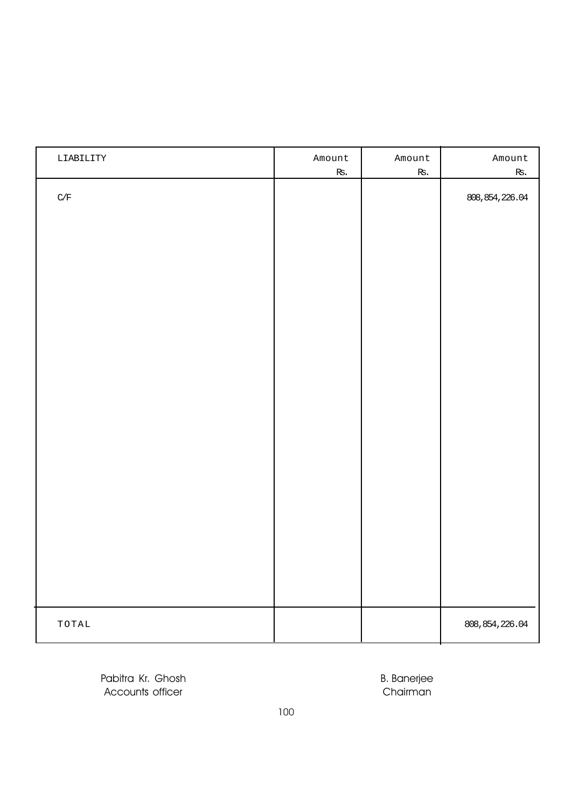| ${\tt LIABILITY}$ | Amount<br>$\mathbb{R}\mathbf{s}.$ | Amount<br>$\mathbb R$ | Amount<br>Rs.    |
|-------------------|-----------------------------------|-----------------------|------------------|
|                   |                                   |                       |                  |
| $\rm C/F$         |                                   |                       | 808, 854, 226.04 |
|                   |                                   |                       |                  |
|                   |                                   |                       |                  |
|                   |                                   |                       |                  |
|                   |                                   |                       |                  |
|                   |                                   |                       |                  |
|                   |                                   |                       |                  |
|                   |                                   |                       |                  |
|                   |                                   |                       |                  |
|                   |                                   |                       |                  |
|                   |                                   |                       |                  |
|                   |                                   |                       |                  |
|                   |                                   |                       |                  |
|                   |                                   |                       |                  |
|                   |                                   |                       |                  |
|                   |                                   |                       |                  |
|                   |                                   |                       |                  |
| TOTAL             |                                   |                       | 808, 854, 226.04 |

Pabitra Kr. Ghosh B. Banerjee<br>Accounts officer and the settlement of the B. Banerjee Accounts officer